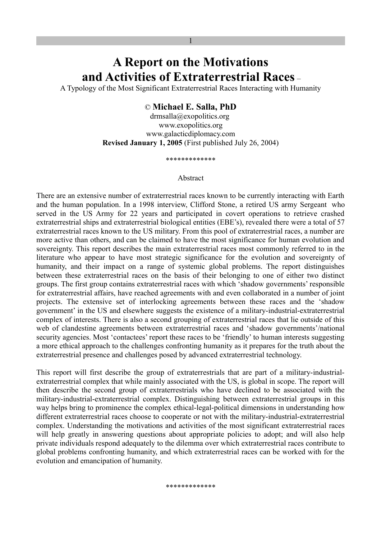# **A Report on the Motivations and Activities of Extraterrestrial Races** –

A Typology of the Most Significant Extraterrestrial Races Interacting with Humanity

### © **Michael E. Salla, PhD**

drmsalla@exopolitics.org www.exopolitics.org www.galacticdiplomacy.com **Revised January 1, 2005** (First published July 26, 2004)

\*\*\*\*\*\*\*\*\*\*\*\*\*

#### Abstract

There are an extensive number of extraterrestrial races known to be currently interacting with Earth and the human population. In a 1998 interview, Clifford Stone, a retired US army Sergeant who served in the US Army for 22 years and participated in covert operations to retrieve crashed extraterrestrial ships and extraterrestrial biological entities (EBE's), revealed there were a total of 57 extraterrestrial races known to the US military. From this pool of extraterrestrial races, a number are more active than others, and can be claimed to have the most significance for human evolution and sovereignty. This report describes the main extraterrestrial races most commonly referred to in the literature who appear to have most strategic significance for the evolution and sovereignty of humanity, and their impact on a range of systemic global problems. The report distinguishes between these extraterrestrial races on the basis of their belonging to one of either two distinct groups. The first group contains extraterrestrial races with which 'shadow governments' responsible for extraterrestrial affairs, have reached agreements with and even collaborated in a number of joint projects. The extensive set of interlocking agreements between these races and the 'shadow government' in the US and elsewhere suggests the existence of a military-industrial-extraterrestrial complex of interests. There is also a second grouping of extraterrestrial races that lie outside of this web of clandestine agreements between extraterrestrial races and 'shadow governments'/national security agencies. Most 'contactees' report these races to be 'friendly' to human interests suggesting a more ethical approach to the challenges confronting humanity as it prepares for the truth about the extraterrestrial presence and challenges posed by advanced extraterrestrial technology.

This report will first describe the group of extraterrestrials that are part of a military-industrialextraterrestrial complex that while mainly associated with the US, is global in scope. The report will then describe the second group of extraterrestrials who have declined to be associated with the military-industrial-extraterrestrial complex. Distinguishing between extraterrestrial groups in this way helps bring to prominence the complex ethical-legal-political dimensions in understanding how different extraterrestrial races choose to cooperate or not with the military-industrial-extraterrestrial complex. Understanding the motivations and activities of the most significant extraterrestrial races will help greatly in answering questions about appropriate policies to adopt; and will also help private individuals respond adequately to the dilemma over which extraterrestrial races contribute to global problems confronting humanity, and which extraterrestrial races can be worked with for the evolution and emancipation of humanity.

\*\*\*\*\*\*\*\*\*\*\*\*\*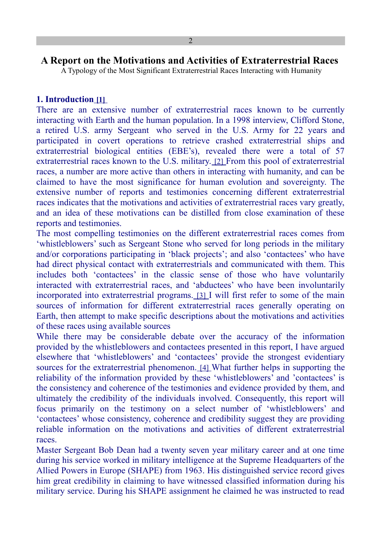## **1. Introduction [\[1\]](file:///C:/Users/Willfort/Downloads/Report-ET Motivations.htm#_edn1)**

There are an extensive number of extraterrestrial races known to be currently interacting with Earth and the human population. In a 1998 interview, Clifford Stone, a retired U.S. army Sergeant who served in the U.S. Army for 22 years and participated in covert operations to retrieve crashed extraterrestrial ships and extraterrestrial biological entities (EBE's), revealed there were a total of 57 extraterrestrial races known to the U.S. military. [\[2\]](file:///C:/Users/Willfort/Downloads/Report-ET Motivations.htm#_edn2) From this pool of extraterrestrial races, a number are more active than others in interacting with humanity, and can be claimed to have the most significance for human evolution and sovereignty. The extensive number of reports and testimonies concerning different extraterrestrial races indicates that the motivations and activities of extraterrestrial races vary greatly, and an idea of these motivations can be distilled from close examination of these reports and testimonies.

The most compelling testimonies on the different extraterrestrial races comes from 'whistleblowers' such as Sergeant Stone who served for long periods in the military and/or corporations participating in 'black projects'; and also 'contactees' who have had direct physical contact with extraterrestrials and communicated with them. This includes both 'contactees' in the classic sense of those who have voluntarily interacted with extraterrestrial races, and 'abductees' who have been involuntarily incorporated into extraterrestrial programs. [\[3\]](file:///C:/Users/Willfort/Downloads/Report-ET Motivations.htm#_edn3) I will first refer to some of the main sources of information for different extraterrestrial races generally operating on Earth, then attempt to make specific descriptions about the motivations and activities of these races using available sources

While there may be considerable debate over the accuracy of the information provided by the whistleblowers and contactees presented in this report, I have argued elsewhere that 'whistleblowers' and 'contactees' provide the strongest evidentiary sources for the extraterrestrial phenomenon. [\[4\]](file:///C:/Users/Willfort/Downloads/Report-ET Motivations.htm#_edn4) What further helps in supporting the reliability of the information provided by these 'whistleblowers' and 'contactees' is the consistency and coherence of the testimonies and evidence provided by them, and ultimately the credibility of the individuals involved. Consequently, this report will focus primarily on the testimony on a select number of 'whistleblowers' and 'contactees' whose consistency, coherence and credibility suggest they are providing reliable information on the motivations and activities of different extraterrestrial races.

Master Sergeant Bob Dean had a twenty seven year military career and at one time during his service worked in military intelligence at the Supreme Headquarters of the Allied Powers in Europe (SHAPE) from 1963. His distinguished service record gives him great credibility in claiming to have witnessed classified information during his military service. During his SHAPE assignment he claimed he was instructed to read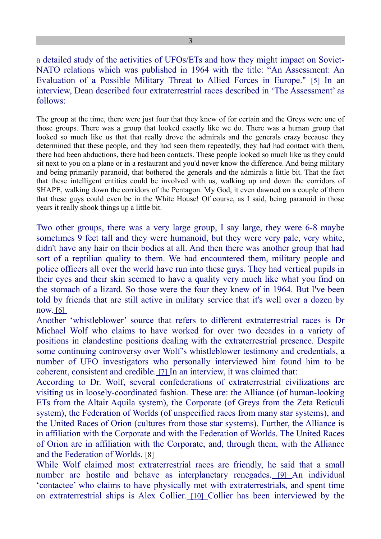a detailed study of the activities of UFOs/ETs and how they might impact on Soviet-NATO relations which was published in 1964 with the title: "An Assessment: An Evaluation of a Possible Military Threat to Allied Forces in Europe." [\[5\]](file:///C:/Users/Willfort/Downloads/Report-ET Motivations.htm#_edn5) In an interview, Dean described four extraterrestrial races described in 'The Assessment' as follows:

The group at the time, there were just four that they knew of for certain and the Greys were one of those groups. There was a group that looked exactly like we do. There was a human group that looked so much like us that that really drove the admirals and the generals crazy because they determined that these people, and they had seen them repeatedly, they had had contact with them, there had been abductions, there had been contacts. These people looked so much like us they could sit next to you on a plane or in a restaurant and you'd never know the difference. And being military and being primarily paranoid, that bothered the generals and the admirals a little bit. That the fact that these intelligent entities could be involved with us, walking up and down the corridors of SHAPE, walking down the corridors of the Pentagon. My God, it even dawned on a couple of them that these guys could even be in the White House! Of course, as I said, being paranoid in those years it really shook things up a little bit.

Two other groups, there was a very large group, I say large, they were 6-8 maybe sometimes 9 feet tall and they were humanoid, but they were very pale, very white, didn't have any hair on their bodies at all. And then there was another group that had sort of a reptilian quality to them. We had encountered them, military people and police officers all over the world have run into these guys. They had vertical pupils in their eyes and their skin seemed to have a quality very much like what you find on the stomach of a lizard. So those were the four they knew of in 1964. But I've been told by friends that are still active in military service that it's well over a dozen by now. [\[6\]](file:///C:/Users/Willfort/Downloads/Report-ET Motivations.htm#_edn6)

Another 'whistleblower' source that refers to different extraterrestrial races is Dr Michael Wolf who claims to have worked for over two decades in a variety of positions in clandestine positions dealing with the extraterrestrial presence. Despite some continuing controversy over Wolf's whistleblower testimony and credentials, a number of UFO investigators who personally interviewed him found him to be coherent, consistent and credible. [\[7\]](file:///C:/Users/Willfort/Downloads/Report-ET Motivations.htm#_edn7) In an interview, it was claimed that:

According to Dr. Wolf, several confederations of extraterrestrial civilizations are visiting us in loosely-coordinated fashion. These are: the Alliance (of human-looking ETs from the Altair Aquila system), the Corporate (of Greys from the Zeta Reticuli system), the Federation of Worlds (of unspecified races from many star systems), and the United Races of Orion (cultures from those star systems). Further, the Alliance is in affiliation with the Corporate and with the Federation of Worlds. The United Races of Orion are in affiliation with the Corporate, and, through them, with the Alliance and the Federation of Worlds. [\[8\]](file:///C:/Users/Willfort/Downloads/Report-ET Motivations.htm#_edn8)

While Wolf claimed most extraterrestrial races are friendly, he said that a small number are hostile and behave as interplanetary renegades. [\[9\]](file:///C:/Users/Willfort/Downloads/Report-ET Motivations.htm#_edn9) An individual 'contactee' who claims to have physically met with extraterrestrials, and spent time on extraterrestrial ships is Alex Collier. [\[10\]](file:///C:/Users/Willfort/Downloads/Report-ET Motivations.htm#_edn10) Collier has been interviewed by the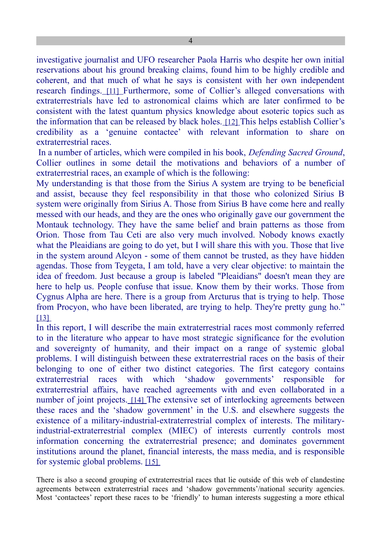investigative journalist and UFO researcher Paola Harris who despite her own initial reservations about his ground breaking claims, found him to be highly credible and coherent, and that much of what he says is consistent with her own independent research findings. [\[11\]](file:///C:/Users/Willfort/Downloads/Report-ET Motivations.htm#_edn11) Furthermore, some of Collier's alleged conversations with extraterrestrials have led to astronomical claims which are later confirmed to be consistent with the latest quantum physics knowledge about esoteric topics such as the information that can be released by black holes. [\[12\]](file:///C:/Users/Willfort/Downloads/Report-ET Motivations.htm#_edn12) This helps establish Collier's credibility as a 'genuine contactee' with relevant information to share on extraterrestrial races.

In a number of articles, which were compiled in his book, *Defending Sacred Ground*, Collier outlines in some detail the motivations and behaviors of a number of extraterrestrial races, an example of which is the following:

My understanding is that those from the Sirius A system are trying to be beneficial and assist, because they feel responsibility in that those who colonized Sirius B system were originally from Sirius A. Those from Sirius B have come here and really messed with our heads, and they are the ones who originally gave our government the Montauk technology. They have the same belief and brain patterns as those from Orion. Those from Tau Ceti are also very much involved. Nobody knows exactly what the Pleaidians are going to do yet, but I will share this with you. Those that live in the system around Alcyon - some of them cannot be trusted, as they have hidden agendas. Those from Teygeta, I am told, have a very clear objective: to maintain the idea of freedom. Just because a group is labeled "Pleaidians" doesn't mean they are here to help us. People confuse that issue. Know them by their works. Those from Cygnus Alpha are here. There is a group from Arcturus that is trying to help. Those from Procyon, who have been liberated, are trying to help. They're pretty gung ho." [\[13\]](file:///C:/Users/Willfort/Downloads/Report-ET Motivations.htm#_edn13)

In this report, I will describe the main extraterrestrial races most commonly referred to in the literature who appear to have most strategic significance for the evolution and sovereignty of humanity, and their impact on a range of systemic global problems. I will distinguish between these extraterrestrial races on the basis of their belonging to one of either two distinct categories. The first category contains extraterrestrial races with which 'shadow governments' responsible extraterrestrial affairs, have reached agreements with and even collaborated in a number of joint projects. [\[14\]](file:///C:/Users/Willfort/Downloads/Report-ET Motivations.htm#_edn14) The extensive set of interlocking agreements between these races and the 'shadow government' in the U.S. and elsewhere suggests the existence of a military-industrial-extraterrestrial complex of interests. The militaryindustrial-extraterrestrial complex (MIEC) of interests currently controls most information concerning the extraterrestrial presence; and dominates government institutions around the planet, financial interests, the mass media, and is responsible for systemic global problems. [\[15\]](file:///C:/Users/Willfort/Downloads/Report-ET Motivations.htm#_edn15)

There is also a second grouping of extraterrestrial races that lie outside of this web of clandestine agreements between extraterrestrial races and 'shadow governments'/national security agencies. Most 'contactees' report these races to be 'friendly' to human interests suggesting a more ethical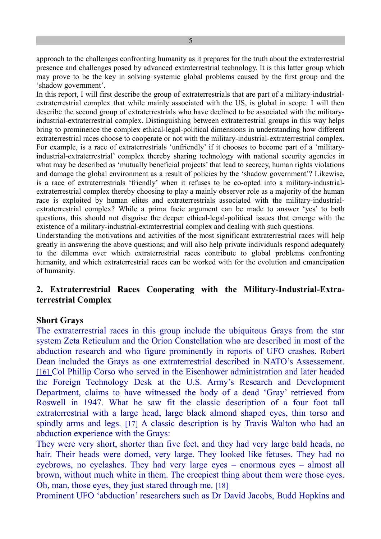approach to the challenges confronting humanity as it prepares for the truth about the extraterrestrial presence and challenges posed by advanced extraterrestrial technology. It is this latter group which may prove to be the key in solving systemic global problems caused by the first group and the 'shadow government'.

In this report, I will first describe the group of extraterrestrials that are part of a military-industrialextraterrestrial complex that while mainly associated with the US, is global in scope. I will then describe the second group of extraterrestrials who have declined to be associated with the militaryindustrial-extraterrestrial complex. Distinguishing between extraterrestrial groups in this way helps bring to prominence the complex ethical-legal-political dimensions in understanding how different extraterrestrial races choose to cooperate or not with the military-industrial-extraterrestrial complex. For example, is a race of extraterrestrials 'unfriendly' if it chooses to become part of a 'militaryindustrial-extraterrestrial' complex thereby sharing technology with national security agencies in what may be described as 'mutually beneficial projects' that lead to secrecy, human rights violations and damage the global environment as a result of policies by the 'shadow government'? Likewise, is a race of extraterrestrials 'friendly' when it refuses to be co-opted into a military-industrialextraterrestrial complex thereby choosing to play a mainly observer role as a majority of the human race is exploited by human elites and extraterrestrials associated with the military-industrialextraterrestrial complex? While a prima facie argument can be made to answer 'yes' to both questions, this should not disguise the deeper ethical-legal-political issues that emerge with the existence of a military-industrial-extraterrestrial complex and dealing with such questions.

Understanding the motivations and activities of the most significant extraterrestrial races will help greatly in answering the above questions; and will also help private individuals respond adequately to the dilemma over which extraterrestrial races contribute to global problems confronting humanity, and which extraterrestrial races can be worked with for the evolution and emancipation of humanity.

# **2. Extraterrestrial Races Cooperating with the Military-Industrial-Extraterrestrial Complex**

### **Short Grays**

The extraterrestrial races in this group include the ubiquitous Grays from the star system Zeta Reticulum and the Orion Constellation who are described in most of the abduction research and who figure prominently in reports of UFO crashes. Robert Dean included the Grays as one extraterrestrial described in NATO's Assessement. [\[16\]](file:///C:/Users/Willfort/Downloads/Report-ET Motivations.htm#_edn16) Col Phillip Corso who served in the Eisenhower administration and later headed the Foreign Technology Desk at the U.S. Army's Research and Development Department, claims to have witnessed the body of a dead 'Gray' retrieved from Roswell in 1947. What he saw fit the classic description of a four foot tall extraterrestrial with a large head, large black almond shaped eyes, thin torso and spindly arms and legs. [\[17\]](file:///C:/Users/Willfort/Downloads/Report-ET Motivations.htm#_edn17) A classic description is by Travis Walton who had an abduction experience with the Grays:

They were very short, shorter than five feet, and they had very large bald heads, no hair. Their heads were domed, very large. They looked like fetuses. They had no eyebrows, no eyelashes. They had very large eyes – enormous eyes – almost all brown, without much white in them. The creepiest thing about them were those eyes. Oh, man, those eyes, they just stared through me. [\[18\]](file:///C:/Users/Willfort/Downloads/Report-ET Motivations.htm#_edn18)

Prominent UFO 'abduction' researchers such as Dr David Jacobs, Budd Hopkins and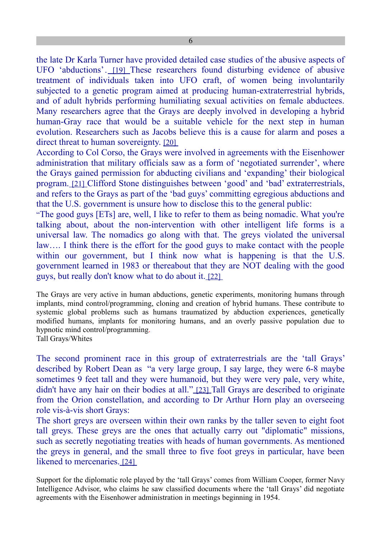the late Dr Karla Turner have provided detailed case studies of the abusive aspects of UFO 'abductions'. [\[19\]](file:///C:/Users/Willfort/Downloads/Report-ET Motivations.htm#_edn19) These researchers found disturbing evidence of abusive treatment of individuals taken into UFO craft, of women being involuntarily subjected to a genetic program aimed at producing human-extraterrestrial hybrids, and of adult hybrids performing humiliating sexual activities on female abductees. Many researchers agree that the Grays are deeply involved in developing a hybrid human-Gray race that would be a suitable vehicle for the next step in human evolution. Researchers such as Jacobs believe this is a cause for alarm and poses a direct threat to human sovereignty. [\[20\]](file:///C:/Users/Willfort/Downloads/Report-ET Motivations.htm#_edn20)

According to Col Corso, the Grays were involved in agreements with the Eisenhower administration that military officials saw as a form of 'negotiated surrender', where the Grays gained permission for abducting civilians and 'expanding' their biological program. [\[21\]](file:///C:/Users/Willfort/Downloads/Report-ET Motivations.htm#_edn21) Clifford Stone distinguishes between 'good' and 'bad' extraterrestrials, and refers to the Grays as part of the 'bad guys' committing egregious abductions and that the U.S. government is unsure how to disclose this to the general public:

"The good guys [ETs] are, well, I like to refer to them as being nomadic. What you're talking about, about the non-intervention with other intelligent life forms is a universal law. The nomadics go along with that. The greys violated the universal law…. I think there is the effort for the good guys to make contact with the people within our government, but I think now what is happening is that the U.S. government learned in 1983 or thereabout that they are NOT dealing with the good guys, but really don't know what to do about it. [\[22\]](file:///C:/Users/Willfort/Downloads/Report-ET Motivations.htm#_edn22)

The Grays are very active in human abductions, genetic experiments, monitoring humans through implants, mind control/programming, cloning and creation of hybrid humans. These contribute to systemic global problems such as humans traumatized by abduction experiences, genetically modified humans, implants for monitoring humans, and an overly passive population due to hypnotic mind control/programming. Tall Grays/Whites

The second prominent race in this group of extraterrestrials are the 'tall Grays' described by Robert Dean as "a very large group, I say large, they were 6-8 maybe sometimes 9 feet tall and they were humanoid, but they were very pale, very white, didn't have any hair on their bodies at all." [\[23\]](file:///C:/Users/Willfort/Downloads/Report-ET Motivations.htm#_edn23) Tall Grays are described to originate from the Orion constellation, and according to Dr Arthur Horn play an overseeing role vis-à-vis short Grays:

The short greys are overseen within their own ranks by the taller seven to eight foot tall greys. These greys are the ones that actually carry out "diplomatic" missions, such as secretly negotiating treaties with heads of human governments. As mentioned the greys in general, and the small three to five foot greys in particular, have been likened to mercenaries. [\[24\]](file:///C:/Users/Willfort/Downloads/Report-ET Motivations.htm#_edn24)

Support for the diplomatic role played by the 'tall Grays' comes from William Cooper, former Navy Intelligence Advisor, who claims he saw classified documents where the 'tall Grays' did negotiate agreements with the Eisenhower administration in meetings beginning in 1954.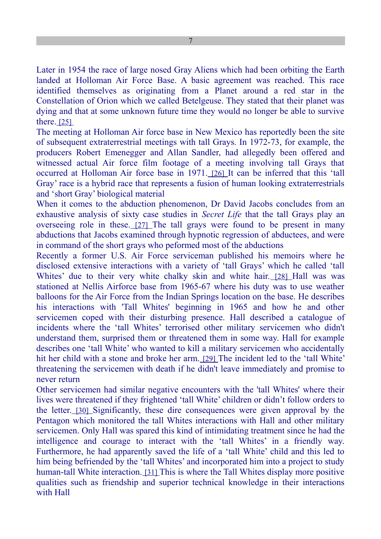Later in 1954 the race of large nosed Gray Aliens which had been orbiting the Earth landed at Holloman Air Force Base. A basic agreement was reached. This race identified themselves as originating from a Planet around a red star in the Constellation of Orion which we called Betelgeuse. They stated that their planet was dying and that at some unknown future time they would no longer be able to survive there. [\[25\]](file:///C:/Users/Willfort/Downloads/Report-ET Motivations.htm#_edn25)

The meeting at Holloman Air force base in New Mexico has reportedly been the site of subsequent extraterrestrial meetings with tall Grays. In 1972-73, for example, the producers Robert Emenegger and Allan Sandler, had allegedly been offered and witnessed actual Air force film footage of a meeting involving tall Grays that occurred at Holloman Air force base in 1971. [\[26\]](file:///C:/Users/Willfort/Downloads/Report-ET Motivations.htm#_edn26) It can be inferred that this 'tall Gray' race is a hybrid race that represents a fusion of human looking extraterrestrials and 'short Gray' biological material

When it comes to the abduction phenomenon, Dr David Jacobs concludes from an exhaustive analysis of sixty case studies in *Secret Life* that the tall Grays play an overseeing role in these. [\[27\]](file:///C:/Users/Willfort/Downloads/Report-ET Motivations.htm#_edn27) The tall grays were found to be present in many abductions that Jacobs examined through hypnotic regression of abductees, and were in command of the short grays who peformed most of the abductions

Recently a former U.S. Air Force serviceman published his memoirs where he disclosed extensive interactions with a variety of 'tall Grays' which he called 'tall Whites' due to their very white chalky skin and white hair. [\[28\]](file:///C:/Users/Willfort/Downloads/Report-ET Motivations.htm#_edn28) Hall was was stationed at Nellis Airforce base from 1965-67 where his duty was to use weather balloons for the Air Force from the Indian Springs location on the base. He describes his interactions with 'Tall Whites' beginning in 1965 and how he and other servicemen coped with their disturbing presence. Hall described a catalogue of incidents where the 'tall Whites' terrorised other military servicemen who didn't understand them, surprised them or threatened them in some way. Hall for example describes one 'tall White' who wanted to kill a military servicemen who accidentally hit her child with a stone and broke her arm. [\[29\]](file:///C:/Users/Willfort/Downloads/Report-ET Motivations.htm#_edn29) The incident led to the 'tall White' threatening the servicemen with death if he didn't leave immediately and promise to never return

Other servicemen had similar negative encounters with the 'tall Whites' where their lives were threatened if they frightened 'tall White' children or didn't follow orders to the letter. [\[30\]](file:///C:/Users/Willfort/Downloads/Report-ET Motivations.htm#_edn30) Significantly, these dire consequences were given approval by the Pentagon which monitored the tall Whites interactions with Hall and other military servicemen. Only Hall was spared this kind of intimidating treatment since he had the intelligence and courage to interact with the 'tall Whites' in a friendly way. Furthermore, he had apparently saved the life of a 'tall White' child and this led to him being befriended by the 'tall Whites' and incorporated him into a project to study human-tall White interaction. [\[31\]](file:///C:/Users/Willfort/Downloads/Report-ET Motivations.htm#_edn31) This is where the Tall Whites display more positive qualities such as friendship and superior technical knowledge in their interactions with Hall

7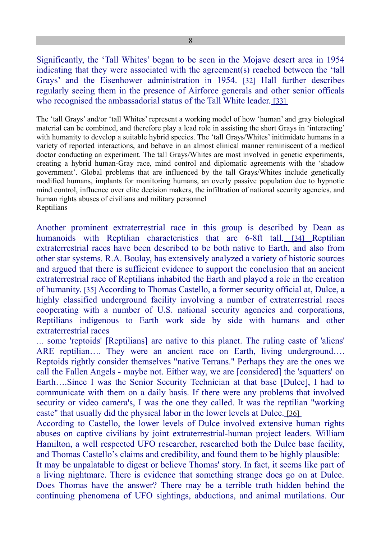Significantly, the 'Tall Whites' began to be seen in the Mojave desert area in 1954 indicating that they were associated with the agreement(s) reached between the 'tall Grays' and the Eisenhower administration in 1954. [\[32\]](file:///C:/Users/Willfort/Downloads/Report-ET Motivations.htm#_edn32) Hall further describes regularly seeing them in the presence of Airforce generals and other senior officals who recognised the ambassadorial status of the Tall White leader. [\[33\]](file:///C:/Users/Willfort/Downloads/Report-ET Motivations.htm#_edn33)

The 'tall Grays' and/or 'tall Whites' represent a working model of how 'human' and gray biological material can be combined, and therefore play a lead role in assisting the short Grays in 'interacting' with humanity to develop a suitable hybrid species. The 'tall Grays/Whites' initimidate humans in a variety of reported interactions, and behave in an almost clinical manner reminiscent of a medical doctor conducting an experiment. The tall Grays/Whites are most involved in genetic experiments, creating a hybrid human-Gray race, mind control and diplomatic agreements with the 'shadow government'. Global problems that are influenced by the tall Grays/Whites include genetically modified humans, implants for monitoring humans, an overly passive population due to hypnotic mind control, influence over elite decision makers, the infiltration of national security agencies, and human rights abuses of civilians and military personnel Reptilians

Another prominent extraterrestrial race in this group is described by Dean as humanoids with Reptilian characteristics that are 6-8ft tall. [\[34\]](file:///C:/Users/Willfort/Downloads/Report-ET Motivations.htm#_edn34) Reptilian extraterrestrial races have been described to be both native to Earth, and also from other star systems. R.A. Boulay, has extensively analyzed a variety of historic sources and argued that there is sufficient evidence to support the conclusion that an ancient extraterrestrial race of Reptilians inhabited the Earth and played a role in the creation of humanity. [\[35\]](file:///C:/Users/Willfort/Downloads/Report-ET Motivations.htm#_edn35) According to Thomas Castello, a former security official at, Dulce, a highly classified underground facility involving a number of extraterrestrial races cooperating with a number of U.S. national security agencies and corporations, Reptilians indigenous to Earth work side by side with humans and other extraterrestrial races

… some 'reptoids' [Reptilians] are native to this planet. The ruling caste of 'aliens' ARE reptilian…. They were an ancient race on Earth, living underground…. Reptoids rightly consider themselves "native Terrans." Perhaps they are the ones we call the Fallen Angels - maybe not. Either way, we are [considered] the 'squatters' on Earth….Since I was the Senior Security Technician at that base [Dulce], I had to communicate with them on a daily basis. If there were any problems that involved security or video camera's, I was the one they called. It was the reptilian "working caste" that usually did the physical labor in the lower levels at Dulce. [\[36\]](file:///C:/Users/Willfort/Downloads/Report-ET Motivations.htm#_edn36)

According to Castello, the lower levels of Dulce involved extensive human rights abuses on captive civilians by joint extraterrestrial-human project leaders. William Hamilton, a well respected UFO researcher, researched both the Dulce base facility, and Thomas Castello's claims and credibility, and found them to be highly plausible:

It may be unpalatable to digest or believe Thomas' story. In fact, it seems like part of a living nightmare. There is evidence that something strange does go on at Dulce. Does Thomas have the answer? There may be a terrible truth hidden behind the continuing phenomena of UFO sightings, abductions, and animal mutilations. Our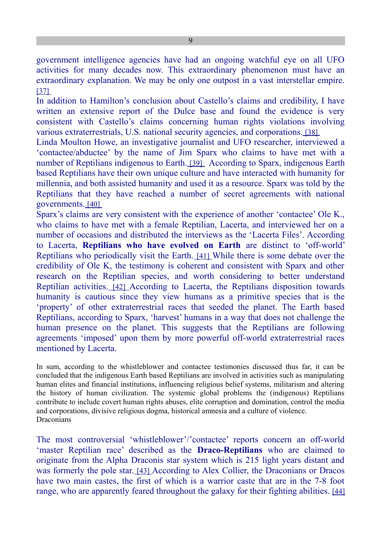government intelligence agencies have had an ongoing watchful eye on all UFO activities for many decades now. This extraordinary phenomenon must have an extraordinary explanation. We may be only one outpost in a vast interstellar empire. [\[37\]](file:///C:/Users/Willfort/Downloads/Report-ET Motivations.htm#_edn37)

In addition to Hamilton's conclusion about Castello's claims and credibility, I have written an extensive report of the Dulce base and found the evidence is very consistent with Castello's claims concerning human rights violations involving various extraterrestrials, U.S. national security agencies, and corporations. [\[38\]](file:///C:/Users/Willfort/Downloads/Report-ET Motivations.htm#_edn38)

Linda Moulton Howe, an investigative journalist and UFO researcher, interviewed a 'contactee/abductee' by the name of Jim Sparx who claims to have met with a number of Reptilians indigenous to Earth. [\[39\]](file:///C:/Users/Willfort/Downloads/Report-ET Motivations.htm#_edn39) According to Sparx, indigenous Earth based Reptilians have their own unique culture and have interacted with humanity for millennia, and both assisted humanity and used it as a resource. Sparx was told by the Reptilians that they have reached a number of secret agreements with national governments. [\[40\]](file:///C:/Users/Willfort/Downloads/Report-ET Motivations.htm#_edn40)

Sparx's claims are very consistent with the experience of another 'contactee' Ole K., who claims to have met with a female Reptilian, Lacerta, and interviewed her on a number of occasions and distributed the interviews as the 'Lacerta Files'. According to Lacerta, **Reptilians who have evolved on Earth** are distinct to 'off-world' Reptilians who periodically visit the Earth. [\[41\]](file:///C:/Users/Willfort/Downloads/Report-ET Motivations.htm#_edn41) While there is some debate over the credibility of Ole K, the testimony is coherent and consistent with Sparx and other research on the Reptilian species, and worth considering to better understand Reptilian activities. [\[42\]](file:///C:/Users/Willfort/Downloads/Report-ET Motivations.htm#_edn42) According to Lacerta, the Reptilians disposition towards humanity is cautious since they view humans as a primitive species that is the 'property' of other extraterrestrial races that seeded the planet. The Earth based Reptilians, according to Sparx, 'harvest' humans in a way that does not challenge the human presence on the planet. This suggests that the Reptilians are following agreements 'imposed' upon them by more powerful off-world extraterrestrial races mentioned by Lacerta.

In sum, according to the whistleblower and contactee testimonies discussed thus far, it can be concluded that the indigenous Earth based Reptilians are involved in activities such as manipulating human elites and financial institutions, influencing religious belief systems, militarism and altering the history of human civilization. The systemic global problems the (indigenous) Reptilians contribute to include covert human rights abuses, elite corruption and domination, control the media and corporations, divisive religious dogma, historical amnesia and a culture of violence. Draconians

The most controversial 'whistleblower'/'contactee' reports concern an off-world 'master Reptilian race' described as the **Draco-Reptilians** who are claimed to originate from the Alpha Draconis star system which is 215 light years distant and was formerly the pole star. [\[43\]](file:///C:/Users/Willfort/Downloads/Report-ET Motivations.htm#_edn43) According to Alex Collier, the Draconians or Dracos have two main castes, the first of which is a warrior caste that are in the 7-8 foot range, who are apparently feared throughout the galaxy for their fighting abilities. [\[44\]](file:///C:/Users/Willfort/Downloads/Report-ET Motivations.htm#_edn44)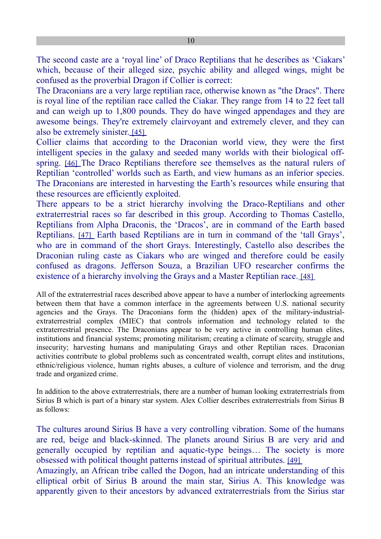The second caste are a 'royal line' of Draco Reptilians that he describes as 'Ciakars' which, because of their alleged size, psychic ability and alleged wings, might be confused as the proverbial Dragon if Collier is correct:

The Draconians are a very large reptilian race, otherwise known as "the Dracs". There is royal line of the reptilian race called the Ciakar. They range from 14 to 22 feet tall and can weigh up to 1,800 pounds. They do have winged appendages and they are awesome beings. They're extremely clairvoyant and extremely clever, and they can also be extremely sinister. [\[45\]](file:///C:/Users/Willfort/Downloads/Report-ET Motivations.htm#_edn45)

Collier claims that according to the Draconian world view, they were the first intelligent species in the galaxy and seeded many worlds with their biological offspring. [\[46\]](file:///C:/Users/Willfort/Downloads/Report-ET Motivations.htm#_edn46) The Draco Reptilians therefore see themselves as the natural rulers of Reptilian 'controlled' worlds such as Earth, and view humans as an inferior species. The Draconians are interested in harvesting the Earth's resources while ensuring that these resources are efficiently exploited.

There appears to be a strict hierarchy involving the Draco-Reptilians and other extraterrestrial races so far described in this group. According to Thomas Castello, Reptilians from Alpha Draconis, the 'Dracos', are in command of the Earth based Reptilians. [\[47\]](file:///C:/Users/Willfort/Downloads/Report-ET Motivations.htm#_edn47) Earth based Reptilians are in turn in command of the 'tall Grays', who are in command of the short Grays. Interestingly, Castello also describes the Draconian ruling caste as Ciakars who are winged and therefore could be easily confused as dragons. Jefferson Souza, a Brazilian UFO researcher confirms the existence of a hierarchy involving the Grays and a Master Reptilian race. [\[48\]](file:///C:/Users/Willfort/Downloads/Report-ET Motivations.htm#_edn48)

All of the extraterrestrial races described above appear to have a number of interlocking agreements between them that have a common interface in the agreements between U.S. national security agencies and the Grays. The Draconians form the (hidden) apex of the military-industrialextraterrestrial complex (MIEC) that controls information and technology related to the extraterrestrial presence. The Draconians appear to be very active in controlling human elites, institutions and financial systems; promoting militarism; creating a climate of scarcity, struggle and insecurity; harvesting humans and manipulating Grays and other Reptilian races. Draconian activities contribute to global problems such as concentrated wealth, corrupt elites and institutions, ethnic/religious violence, human rights abuses, a culture of violence and terrorism, and the drug trade and organized crime.

In addition to the above extraterrestrials, there are a number of human looking extraterrestrials from Sirius B which is part of a binary star system. Alex Collier describes extraterrestrials from Sirius B as follows:

The cultures around Sirius B have a very controlling vibration. Some of the humans are red, beige and black-skinned. The planets around Sirius B are very arid and generally occupied by reptilian and aquatic-type beings… The society is more obsessed with political thought patterns instead of spiritual attributes. [\[49\]](file:///C:/Users/Willfort/Downloads/Report-ET Motivations.htm#_edn49)

Amazingly, an African tribe called the Dogon, had an intricate understanding of this elliptical orbit of Sirius B around the main star, Sirius A. This knowledge was apparently given to their ancestors by advanced extraterrestrials from the Sirius star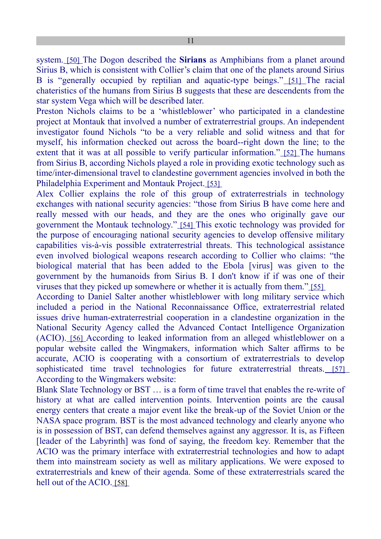system. [\[50\]](file:///C:/Users/Willfort/Downloads/Report-ET Motivations.htm#_edn50) The Dogon described the **Sirians** as Amphibians from a planet around Sirius B, which is consistent with Collier's claim that one of the planets around Sirius B is "generally occupied by reptilian and aquatic-type beings." [\[51\]](file:///C:/Users/Willfort/Downloads/Report-ET Motivations.htm#_edn51) The racial chateristics of the humans from Sirius B suggests that these are descendents from the star system Vega which will be described later.

Preston Nichols claims to be a 'whistleblower' who participated in a clandestine project at Montauk that involved a number of extraterrestrial groups. An independent investigator found Nichols "to be a very reliable and solid witness and that for myself, his information checked out across the board--right down the line; to the extent that it was at all possible to verify particular information." [\[52\]](file:///C:/Users/Willfort/Downloads/Report-ET Motivations.htm#_edn52) The humans from Sirius B, according Nichols played a role in providing exotic technology such as time/inter-dimensional travel to clandestine government agencies involved in both the Philadelphia Experiment and Montauk Project. [\[53\]](file:///C:/Users/Willfort/Downloads/Report-ET Motivations.htm#_edn53)

Alex Collier explains the role of this group of extraterrestrials in technology exchanges with national security agencies: "those from Sirius B have come here and really messed with our heads, and they are the ones who originally gave our government the Montauk technology." [\[54\]](file:///C:/Users/Willfort/Downloads/Report-ET Motivations.htm#_edn54) This exotic technology was provided for the purpose of encouraging national security agencies to develop offensive military capabilities vis-à-vis possible extraterrestrial threats. This technological assistance even involved biological weapons research according to Collier who claims: "the biological material that has been added to the Ebola [virus] was given to the government by the humanoids from Sirius B. I don't know if if was one of their viruses that they picked up somewhere or whether it is actually from them." [\[55\]](file:///C:/Users/Willfort/Downloads/Report-ET Motivations.htm#_edn55)

According to Daniel Salter another whistleblower with long military service which included a period in the National Reconnaissance Office, extraterrestrial related issues drive human-extraterrestrial cooperation in a clandestine organization in the National Security Agency called the Advanced Contact Intelligence Organization (ACIO). [\[56\]](file:///C:/Users/Willfort/Downloads/Report-ET Motivations.htm#_edn56) According to leaked information from an alleged whistleblower on a popular website called the Wingmakers, information which Salter affirms to be accurate, ACIO is cooperating with a consortium of extraterrestrials to develop sophisticated time travel technologies for future extraterrestrial threats. [\[57\]](file:///C:/Users/Willfort/Downloads/Report-ET Motivations.htm#_edn57) According to the Wingmakers website:

Blank Slate Technology or BST … is a form of time travel that enables the re-write of history at what are called intervention points. Intervention points are the causal energy centers that create a major event like the break-up of the Soviet Union or the NASA space program. BST is the most advanced technology and clearly anyone who is in possession of BST, can defend themselves against any aggressor. It is, as Fifteen [leader of the Labyrinth] was fond of saying, the freedom key. Remember that the ACIO was the primary interface with extraterrestrial technologies and how to adapt them into mainstream society as well as military applications. We were exposed to extraterrestrials and knew of their agenda. Some of these extraterrestrials scared the hell out of the ACIO. [\[58\]](file:///C:/Users/Willfort/Downloads/Report-ET Motivations.htm#_edn58)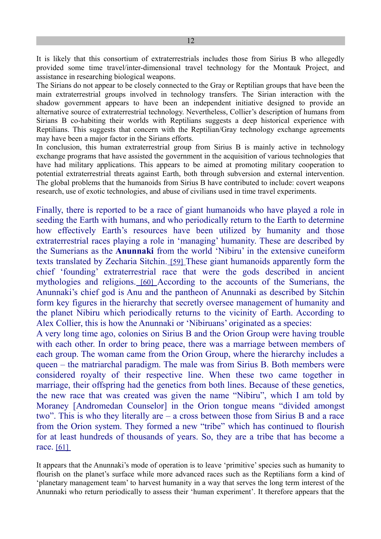It is likely that this consortium of extraterrestrials includes those from Sirius B who allegedly provided some time travel/inter-dimensional travel technology for the Montauk Project, and assistance in researching biological weapons.

The Sirians do not appear to be closely connected to the Gray or Reptilian groups that have been the main extraterrestrial groups involved in technology transfers. The Sirian interaction with the shadow government appears to have been an independent initiative designed to provide an alternative source of extraterrestrial technology. Nevertheless, Collier's description of humans from Sirians B co-habiting their worlds with Reptilians suggests a deep historical experience with Reptilians. This suggests that concern with the Reptilian/Gray technology exchange agreements may have been a major factor in the Sirians efforts.

In conclusion, this human extraterrestrial group from Sirius B is mainly active in technology exchange programs that have assisted the government in the acquisition of various technologies that have had military applications. This appears to be aimed at promoting military cooperation to potential extraterrestrial threats against Earth, both through subversion and external intervention. The global problems that the humanoids from Sirius B have contributed to include: covert weapons research, use of exotic technologies, and abuse of civilians used in time travel experiments.

Finally, there is reported to be a race of giant humanoids who have played a role in seeding the Earth with humans, and who periodically return to the Earth to determine how effectively Earth's resources have been utilized by humanity and those extraterrestrial races playing a role in 'managing' humanity. These are described by the Sumerians as the **Anunnaki** from the world 'Nibiru' in the extensive cuneiform texts translated by Zecharia Sitchin. [\[59\]](file:///C:/Users/Willfort/Downloads/Report-ET Motivations.htm#_edn59) These giant humanoids apparently form the chief 'founding' extraterrestrial race that were the gods described in ancient mythologies and religions. [\[60\]](file:///C:/Users/Willfort/Downloads/Report-ET Motivations.htm#_edn60) According to the accounts of the Sumerians, the Anunnaki's chief god is Anu and the pantheon of Anunnaki as described by Sitchin form key figures in the hierarchy that secretly oversee management of humanity and the planet Nibiru which periodically returns to the vicinity of Earth. According to Alex Collier, this is how the Anunnaki or 'Nibiruans' originated as a species:

A very long time ago, colonies on Sirius B and the Orion Group were having trouble with each other. In order to bring peace, there was a marriage between members of each group. The woman came from the Orion Group, where the hierarchy includes a queen – the matriarchal paradigm. The male was from Sirius B. Both members were considered royalty of their respective line. When these two came together in marriage, their offspring had the genetics from both lines. Because of these genetics, the new race that was created was given the name "Nibiru", which I am told by Moraney [Andromedan Counselor] in the Orion tongue means "divided amongst two". This is who they literally are – a cross between those from Sirius B and a race from the Orion system. They formed a new "tribe" which has continued to flourish for at least hundreds of thousands of years. So, they are a tribe that has become a race. [\[61\]](file:///C:/Users/Willfort/Downloads/Report-ET Motivations.htm#_edn61)

It appears that the Anunnaki's mode of operation is to leave 'primitive' species such as humanity to flourish on the planet's surface while more advanced races such as the Reptilians form a kind of 'planetary management team' to harvest humanity in a way that serves the long term interest of the Anunnaki who return periodically to assess their 'human experiment'. It therefore appears that the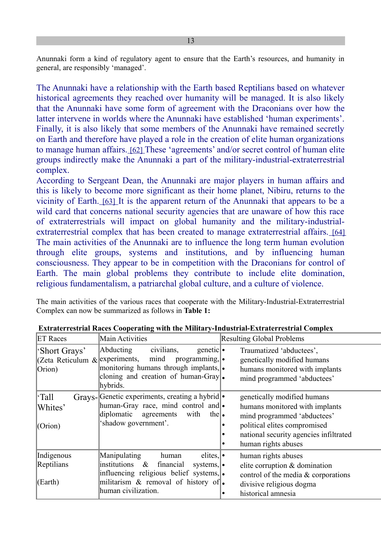Anunnaki form a kind of regulatory agent to ensure that the Earth's resources, and humanity in general, are responsibly 'managed'.

The Anunnaki have a relationship with the Earth based Reptilians based on whatever historical agreements they reached over humanity will be managed. It is also likely that the Anunnaki have some form of agreement with the Draconians over how the latter intervene in worlds where the Anunnaki have established 'human experiments'. Finally, it is also likely that some members of the Anunnaki have remained secretly on Earth and therefore have played a role in the creation of elite human organizations to manage human affairs. [\[62\]](file:///C:/Users/Willfort/Downloads/Report-ET Motivations.htm#_edn62) These 'agreements' and/or secret control of human elite groups indirectly make the Anunnaki a part of the military-industrial-extraterrestrial complex.

According to Sergeant Dean, the Anunnaki are major players in human affairs and this is likely to become more significant as their home planet, Nibiru, returns to the vicinity of Earth. [\[63\]](file:///C:/Users/Willfort/Downloads/Report-ET Motivations.htm#_edn63) It is the apparent return of the Anunnaki that appears to be a wild card that concerns national security agencies that are unaware of how this race of extraterrestrials will impact on global humanity and the military-industrialextraterrestrial complex that has been created to manage extraterrestrial affairs. [\[64\]](file:///C:/Users/Willfort/Downloads/Report-ET Motivations.htm#_edn64) The main activities of the Anunnaki are to influence the long term human evolution through elite groups, systems and institutions, and by influencing human consciousness. They appear to be in competition with the Draconians for control of Earth. The main global problems they contribute to include elite domination, religious fundamentalism, a patriarchal global culture, and a culture of violence.

The main activities of the various races that cooperate with the Military-Industrial-Extraterrestrial Complex can now be summarized as follows in **Table 1:**

| <b>ET Races</b>                      | Main Activities                                                                                                                                                                                                       | <b>Resulting Global Problems</b>                                                                                                                                                              |
|--------------------------------------|-----------------------------------------------------------------------------------------------------------------------------------------------------------------------------------------------------------------------|-----------------------------------------------------------------------------------------------------------------------------------------------------------------------------------------------|
| 'Short Grays'<br>Orion)              | Abducting<br>civilians,<br>genetic $\bullet$<br>(Zeta Reticulum $\&$ experiments, mind<br>$programming,   \bullet$<br>monitoring humans through implants,<br>cloning and creation of human-Gray<br>hybrids.           | Traumatized 'abductees',<br>genetically modified humans<br>humans monitored with implants<br>mind programmed 'abductees'                                                                      |
| 'Tall<br>Whites'<br>(Orion)          | Grays-Genetic experiments, creating a hybrid<br>human-Gray race, mind control and .<br>diplomatic agreements with<br>the $\bullet$<br>shadow government'.                                                             | genetically modified humans<br>humans monitored with implants<br>mind programmed 'abductees'<br>political elites compromised<br>national security agencies infiltrated<br>human rights abuses |
| Indigenous<br>Reptilians<br> (Earth) | Manipulating<br>elites, $\bullet$<br>human<br>institutions $\&$<br>financial<br>systems, $\bullet$<br>influencing religious belief systems, $\bullet$<br>militarism $\&$ removal of history of<br>human civilization. | human rights abuses<br>elite corruption & domination<br>control of the media & corporations<br>divisive religious dogma<br>historical amnesia                                                 |

**Extraterrestrial Races Cooperating with the Military-Industrial-Extraterrestrial Complex**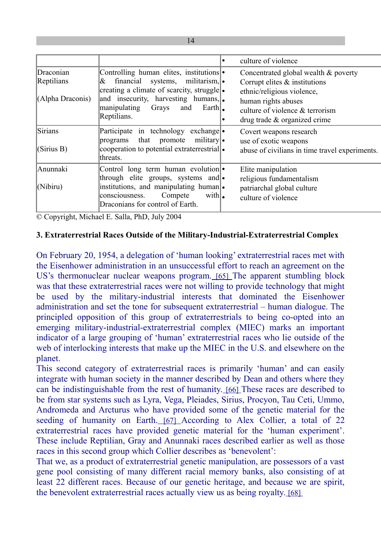|                                                           |                                                                                                                                                                                                                   |  | culture of violence                                                                                                                                                                                 |
|-----------------------------------------------------------|-------------------------------------------------------------------------------------------------------------------------------------------------------------------------------------------------------------------|--|-----------------------------------------------------------------------------------------------------------------------------------------------------------------------------------------------------|
| Draconian<br>Reptilians<br>$(A)$ <sub>pha</sub> Draconis) | Controlling human elites, institutions<br>financial systems, militarism,<br>&<br>creating a climate of scarcity, struggle<br>and insecurity, harvesting humans,<br>manipulating Grays and<br>Earth<br>Reptilians. |  | Concentrated global wealth & poverty<br>Corrupt elites $\&$ institutions<br>ethnic/religious violence,<br>human rights abuses<br>culture of violence & terrorism<br>drug trade $\&$ organized crime |
| Sirians<br>(Sirius B)                                     | Participate in technology exchange •<br>$ $ programs that promote military $  \bullet \rangle$<br>cooperation to potential extraterrestrial.<br> threats.                                                         |  | Covert weapons research<br>use of exotic weapons<br>abuse of civilians in time travel experiments.                                                                                                  |
| Anunnaki<br>(Nibiru)                                      | Control long term human evolution<br>through elite groups, systems and •<br>institutions, and manipulating human.<br>consciousness.<br>with $\vert$<br>Compete<br>Draconians for control of Earth.                |  | Elite manipulation<br>religious fundamentalism<br>patriarchal global culture<br>culture of violence                                                                                                 |

© Copyright, Michael E. Salla, PhD, July 2004

### **3. Extraterrestrial Races Outside of the Military-Industrial-Extraterrestrial Complex**

On February 20, 1954, a delegation of 'human looking' extraterrestrial races met with the Eisenhower administration in an unsuccessful effort to reach an agreement on the US's thermonuclear nuclear weapons program. [\[65\]](file:///C:/Users/Willfort/Downloads/Report-ET Motivations.htm#_edn65) The apparent stumbling block was that these extraterrestrial races were not willing to provide technology that might be used by the military-industrial interests that dominated the Eisenhower administration and set the tone for subsequent extraterrestrial – human dialogue. The principled opposition of this group of extraterrestrials to being co-opted into an emerging military-industrial-extraterrestrial complex (MIEC) marks an important indicator of a large grouping of 'human' extraterrestrial races who lie outside of the web of interlocking interests that make up the MIEC in the U.S. and elsewhere on the planet.

This second category of extraterrestrial races is primarily 'human' and can easily integrate with human society in the manner described by Dean and others where they can be indistinguishable from the rest of humanity. [\[66\]](file:///C:/Users/Willfort/Downloads/Report-ET Motivations.htm#_edn66) These races are described to be from star systems such as Lyra, Vega, Pleiades, Sirius, Procyon, Tau Ceti, Ummo, Andromeda and Arcturus who have provided some of the genetic material for the seeding of humanity on Earth. [\[67\]](file:///C:/Users/Willfort/Downloads/Report-ET Motivations.htm#_edn67) According to Alex Collier, a total of 22 extraterrestrial races have provided genetic material for the 'human experiment'. These include Reptilian, Gray and Anunnaki races described earlier as well as those races in this second group which Collier describes as 'benevolent':

That we, as a product of extraterrestrial genetic manipulation, are possessors of a vast gene pool consisting of many different racial memory banks, also consisting of at least 22 different races. Because of our genetic heritage, and because we are spirit, the benevolent extraterrestrial races actually view us as being royalty. [\[68\]](file:///C:/Users/Willfort/Downloads/Report-ET Motivations.htm#_edn68)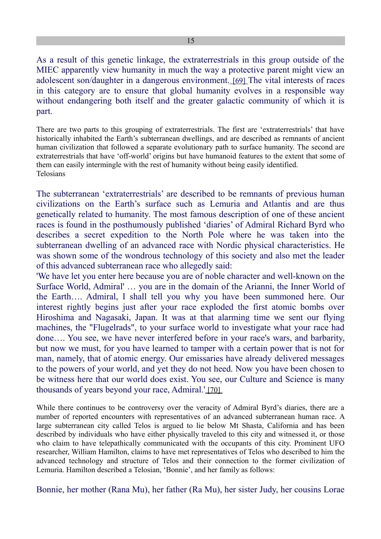As a result of this genetic linkage, the extraterrestrials in this group outside of the MIEC apparently view humanity in much the way a protective parent might view an adolescent son/daughter in a dangerous environment. [\[69\]](file:///C:/Users/Willfort/Downloads/Report-ET Motivations.htm#_edn69) The vital interests of races in this category are to ensure that global humanity evolves in a responsible way without endangering both itself and the greater galactic community of which it is part.

There are two parts to this grouping of extraterrestrials. The first are 'extraterrestrials' that have historically inhabited the Earth's subterranean dwellings, and are described as remnants of ancient human civilization that followed a separate evolutionary path to surface humanity. The second are extraterrestrials that have 'off-world' origins but have humanoid features to the extent that some of them can easily intermingle with the rest of humanity without being easily identified. Telosians

The subterranean 'extraterrestrials' are described to be remnants of previous human civilizations on the Earth's surface such as Lemuria and Atlantis and are thus genetically related to humanity. The most famous description of one of these ancient races is found in the posthumously published 'diaries' of Admiral Richard Byrd who describes a secret expedition to the North Pole where he was taken into the subterranean dwelling of an advanced race with Nordic physical characteristics. He was shown some of the wondrous technology of this society and also met the leader of this advanced subterranean race who allegedly said:

'We have let you enter here because you are of noble character and well-known on the Surface World, Admiral' … you are in the domain of the Arianni, the Inner World of the Earth…. Admiral, I shall tell you why you have been summoned here. Our interest rightly begins just after your race exploded the first atomic bombs over Hiroshima and Nagasaki, Japan. It was at that alarming time we sent our flying machines, the "Flugelrads", to your surface world to investigate what your race had done…. You see, we have never interfered before in your race's wars, and barbarity, but now we must, for you have learned to tamper with a certain power that is not for man, namely, that of atomic energy. Our emissaries have already delivered messages to the powers of your world, and yet they do not heed. Now you have been chosen to be witness here that our world does exist. You see, our Culture and Science is many thousands of years beyond your race, Admiral.' [\[70\]](file:///C:/Users/Willfort/Downloads/Report-ET Motivations.htm#_edn70)

While there continues to be controversy over the veracity of Admiral Byrd's diaries, there are a number of reported encounters with representatives of an advanced subterranean human race. A large subterranean city called Telos is argued to lie below Mt Shasta, California and has been described by individuals who have either physically traveled to this city and witnessed it, or those who claim to have telepathically communicated with the occupants of this city. Prominent UFO researcher, William Hamilton, claims to have met representatives of Telos who described to him the advanced technology and structure of Telos and their connection to the former civilization of Lemuria. Hamilton described a Telosian, 'Bonnie', and her family as follows:

Bonnie, her mother (Rana Mu), her father (Ra Mu), her sister Judy, her cousins Lorae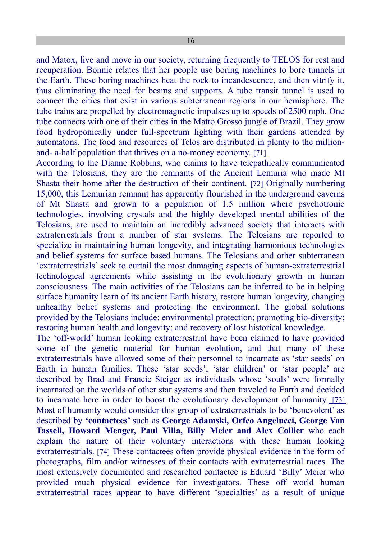and Matox, live and move in our society, returning frequently to TELOS for rest and recuperation. Bonnie relates that her people use boring machines to bore tunnels in the Earth. These boring machines heat the rock to incandescence, and then vitrify it, thus eliminating the need for beams and supports. A tube transit tunnel is used to connect the cities that exist in various subterranean regions in our hemisphere. The tube trains are propelled by electromagnetic impulses up to speeds of 2500 mph. One tube connects with one of their cities in the Matto Grosso jungle of Brazil. They grow food hydroponically under full-spectrum lighting with their gardens attended by automatons. The food and resources of Telos are distributed in plenty to the millionand- a-half population that thrives on a no-money economy. [\[71\]](file:///C:/Users/Willfort/Downloads/Report-ET Motivations.htm#_edn71)

According to the Dianne Robbins, who claims to have telepathically communicated with the Telosians, they are the remnants of the Ancient Lemuria who made Mt Shasta their home after the destruction of their continent. [\[72\]](file:///C:/Users/Willfort/Downloads/Report-ET Motivations.htm#_edn72) Originally numbering 15,000, this Lemurian remnant has apparently flourished in the underground caverns of Mt Shasta and grown to a population of 1.5 million where psychotronic technologies, involving crystals and the highly developed mental abilities of the Telosians, are used to maintain an incredibly advanced society that interacts with extraterrestrials from a number of star systems. The Telosians are reported to specialize in maintaining human longevity, and integrating harmonious technologies and belief systems for surface based humans. The Telosians and other subterranean 'extraterrestrials' seek to curtail the most damaging aspects of human-extraterrestrial technological agreements while assisting in the evolutionary growth in human consciousness. The main activities of the Telosians can be inferred to be in helping surface humanity learn of its ancient Earth history, restore human longevity, changing unhealthy belief systems and protecting the environment. The global solutions provided by the Telosians include: environmental protection; promoting bio-diversity; restoring human health and longevity; and recovery of lost historical knowledge.

The 'off-world' human looking extraterrestrial have been claimed to have provided some of the genetic material for human evolution, and that many of these extraterrestrials have allowed some of their personnel to incarnate as 'star seeds' on Earth in human families. These 'star seeds', 'star children' or 'star people' are described by Brad and Francie Steiger as individuals whose 'souls' were formally incarnated on the worlds of other star systems and then traveled to Earth and decided to incarnate here in order to boost the evolutionary development of humanity. [\[73\]](file:///C:/Users/Willfort/Downloads/Report-ET Motivations.htm#_edn73) Most of humanity would consider this group of extraterrestrials to be 'benevolent' as described by **'contactees'** such as **George Adamski, Orfeo Angelucci, George Van Tassell, Howard Menger, Paul Villa, Billy Meier and Alex Collier** who each explain the nature of their voluntary interactions with these human looking extraterrestrials. [\[74\]](file:///C:/Users/Willfort/Downloads/Report-ET Motivations.htm#_edn74) These contactees often provide physical evidence in the form of photographs, film and/or witnesses of their contacts with extraterrestrial races. The most extensively documented and researched contactee is Eduard 'Billy' Meier who provided much physical evidence for investigators. These off world human extraterrestrial races appear to have different 'specialties' as a result of unique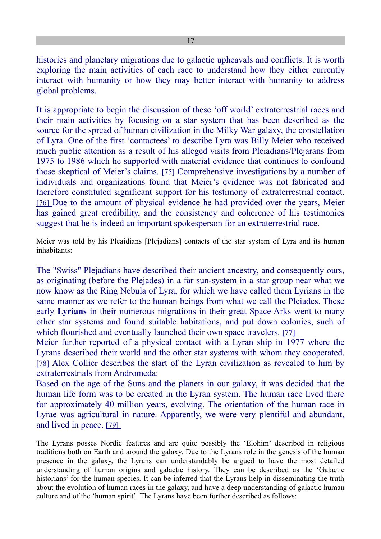histories and planetary migrations due to galactic upheavals and conflicts. It is worth exploring the main activities of each race to understand how they either currently interact with humanity or how they may better interact with humanity to address global problems.

It is appropriate to begin the discussion of these 'off world' extraterrestrial races and their main activities by focusing on a star system that has been described as the source for the spread of human civilization in the Milky War galaxy, the constellation of Lyra. One of the first 'contactees' to describe Lyra was Billy Meier who received much public attention as a result of his alleged visits from Pleiadians/Plejarans from 1975 to 1986 which he supported with material evidence that continues to confound those skeptical of Meier's claims. [\[75\]](file:///C:/Users/Willfort/Downloads/Report-ET Motivations.htm#_edn75) Comprehensive investigations by a number of individuals and organizations found that Meier's evidence was not fabricated and therefore constituted significant support for his testimony of extraterrestrial contact. [\[76\]](file:///C:/Users/Willfort/Downloads/Report-ET Motivations.htm#_edn76) Due to the amount of physical evidence he had provided over the years, Meier has gained great credibility, and the consistency and coherence of his testimonies suggest that he is indeed an important spokesperson for an extraterrestrial race.

Meier was told by his Pleaidians [Plejadians] contacts of the star system of Lyra and its human inhabitants:

The "Swiss" Plejadians have described their ancient ancestry, and consequently ours, as originating (before the Plejades) in a far sun-system in a star group near what we now know as the Ring Nebula of Lyra, for which we have called them Lyrians in the same manner as we refer to the human beings from what we call the Pleiades. These early **Lyrians** in their numerous migrations in their great Space Arks went to many other star systems and found suitable habitations, and put down colonies, such of which flourished and eventually launched their own space travelers. [\[77\]](file:///C:/Users/Willfort/Downloads/Report-ET Motivations.htm#_edn77)

Meier further reported of a physical contact with a Lyran ship in 1977 where the Lyrans described their world and the other star systems with whom they cooperated. [\[78\]](file:///C:/Users/Willfort/Downloads/Report-ET Motivations.htm#_edn78) Alex Collier describes the start of the Lyran civilization as revealed to him by extraterrestrials from Andromeda:

Based on the age of the Suns and the planets in our galaxy, it was decided that the human life form was to be created in the Lyran system. The human race lived there for approximately 40 million years, evolving. The orientation of the human race in Lyrae was agricultural in nature. Apparently, we were very plentiful and abundant, and lived in peace. [\[79\]](file:///C:/Users/Willfort/Downloads/Report-ET Motivations.htm#_edn79)

The Lyrans posses Nordic features and are quite possibly the 'Elohim' described in religious traditions both on Earth and around the galaxy. Due to the Lyrans role in the genesis of the human presence in the galaxy, the Lyrans can understandably be argued to have the most detailed understanding of human origins and galactic history. They can be described as the 'Galactic historians' for the human species. It can be inferred that the Lyrans help in disseminating the truth about the evolution of human races in the galaxy, and have a deep understanding of galactic human culture and of the 'human spirit'. The Lyrans have been further described as follows: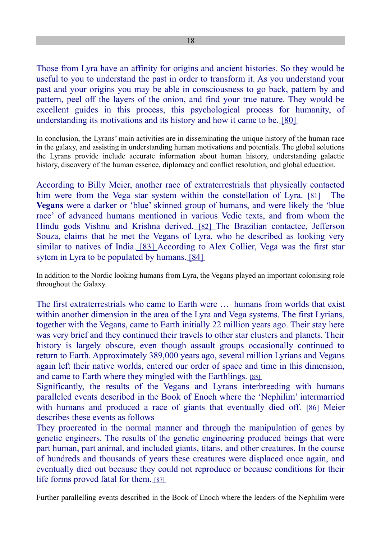Those from Lyra have an affinity for origins and ancient histories. So they would be useful to you to understand the past in order to transform it. As you understand your past and your origins you may be able in consciousness to go back, pattern by and pattern, peel off the layers of the onion, and find your true nature. They would be excellent guides in this process, this psychological process for humanity, of understanding its motivations and its history and how it came to be[. \[80\]](file:///C:/Users/Willfort/Downloads/Report-ET Motivations.htm#_edn80) 

In conclusion, the Lyrans' main activities are in disseminating the unique history of the human race in the galaxy, and assisting in understanding human motivations and potentials. The global solutions the Lyrans provide include accurate information about human history, understanding galactic history, discovery of the human essence, diplomacy and conflict resolution, and global education.

According to Billy Meier, another race of extraterrestrials that physically contacted him were from the Vega star system within the constellation of Lyra. [\[81\]](file:///C:/Users/Willfort/Downloads/Report-ET Motivations.htm#_edn81) The **Vegans** were a darker or 'blue' skinned group of humans, and were likely the 'blue race' of advanced humans mentioned in various Vedic texts, and from whom the Hindu gods Vishnu and Krishna derived. [\[82\]](file:///C:/Users/Willfort/Downloads/Report-ET Motivations.htm#_edn82) The Brazilian contactee, Jefferson Souza, claims that he met the Vegans of Lyra, who he described as looking very similar to natives of India. [\[83\]](file:///C:/Users/Willfort/Downloads/Report-ET Motivations.htm#_edn83) According to Alex Collier, Vega was the first star sytem in Lyra to be populated by humans. [\[84\]](file:///C:/Users/Willfort/Downloads/Report-ET Motivations.htm#_edn84)

In addition to the Nordic looking humans from Lyra, the Vegans played an important colonising role throughout the Galaxy.

The first extraterrestrials who came to Earth were … humans from worlds that exist within another dimension in the area of the Lyra and Vega systems. The first Lyrians, together with the Vegans, came to Earth initially 22 million years ago. Their stay here was very brief and they continued their travels to other star clusters and planets. Their history is largely obscure, even though assault groups occasionally continued to return to Earth. Approximately 389,000 years ago, several million Lyrians and Vegans again left their native worlds, entered our order of space and time in this dimension, and came to Earth where they mingled with the Earthlings. [\[85\]](file:///C:/Users/Willfort/Downloads/Report-ET Motivations.htm#_edn85)

Significantly, the results of the Vegans and Lyrans interbreeding with humans paralleled events described in the Book of Enoch where the 'Nephilim' intermarried with humans and produced a race of giants that eventually died off. [\[86\]](file:///C:/Users/Willfort/Downloads/Report-ET Motivations.htm#_edn86) Meier describes these events as follows

They procreated in the normal manner and through the manipulation of genes by genetic engineers. The results of the genetic engineering produced beings that were part human, part animal, and included giants, titans, and other creatures. In the course of hundreds and thousands of years these creatures were displaced once again, and eventually died out because they could not reproduce or because conditions for their life forms proved fatal for them. [\[87\]](file:///C:/Users/Willfort/Downloads/Report-ET Motivations.htm#_edn87)

Further parallelling events described in the Book of Enoch where the leaders of the Nephilim were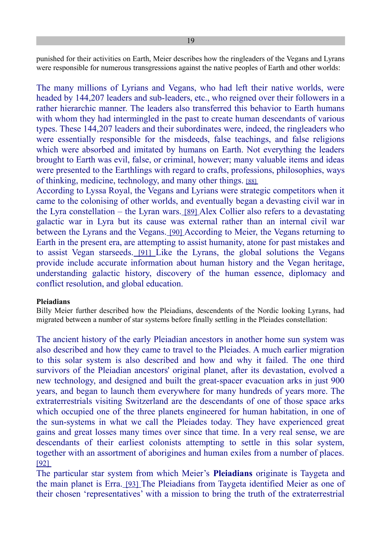punished for their activities on Earth, Meier describes how the ringleaders of the Vegans and Lyrans were responsible for numerous transgressions against the native peoples of Earth and other worlds:

The many millions of Lyrians and Vegans, who had left their native worlds, were headed by 144,207 leaders and sub-leaders, etc., who reigned over their followers in a rather hierarchic manner. The leaders also transferred this behavior to Earth humans with whom they had intermingled in the past to create human descendants of various types. These 144,207 leaders and their subordinates were, indeed, the ringleaders who were essentially responsible for the misdeeds, false teachings, and false religions which were absorbed and imitated by humans on Earth. Not everything the leaders brought to Earth was evil, false, or criminal, however; many valuable items and ideas were presented to the Earthlings with regard to crafts, professions, philosophies, ways of thinking, medicine, technology, and many other things. [\[88\]](file:///C:/Users/Willfort/Downloads/Report-ET Motivations.htm#_edn88)

According to Lyssa Royal, the Vegans and Lyrians were strategic competitors when it came to the colonising of other worlds, and eventually began a devasting civil war in the Lyra constellation – the Lyran wars. [\[89\]](file:///C:/Users/Willfort/Downloads/Report-ET Motivations.htm#_edn89) Alex Collier also refers to a devastating galactic war in Lyra but its cause was external rather than an internal civil war between the Lyrans and the Vegans. [\[90\]](file:///C:/Users/Willfort/Downloads/Report-ET Motivations.htm#_edn90) According to Meier, the Vegans returning to Earth in the present era, are attempting to assist humanity, atone for past mistakes and to assist Vegan starseeds. [\[91\]](file:///C:/Users/Willfort/Downloads/Report-ET Motivations.htm#_edn91) Like the Lyrans, the global solutions the Vegans provide include accurate information about human history and the Vegan heritage, understanding galactic history, discovery of the human essence, diplomacy and conflict resolution, and global education.

### **Pleiadians**

Billy Meier further described how the Pleiadians, descendents of the Nordic looking Lyrans, had migrated between a number of star systems before finally settling in the Pleiades constellation:

The ancient history of the early Pleiadian ancestors in another home sun system was also described and how they came to travel to the Pleiades. A much earlier migration to this solar system is also described and how and why it failed. The one third survivors of the Pleiadian ancestors' original planet, after its devastation, evolved a new technology, and designed and built the great-spacer evacuation arks in just 900 years, and began to launch them everywhere for many hundreds of years more. The extraterrestrials visiting Switzerland are the descendants of one of those space arks which occupied one of the three planets engineered for human habitation, in one of the sun-systems in what we call the Pleiades today. They have experienced great gains and great losses many times over since that time. In a very real sense, we are descendants of their earliest colonists attempting to settle in this solar system, together with an assortment of aborigines and human exiles from a number of places. [\[92\]](file:///C:/Users/Willfort/Downloads/Report-ET Motivations.htm#_edn92)

The particular star system from which Meier's **Pleiadians** originate is Taygeta and the main planet is Erra. [\[93\]](file:///C:/Users/Willfort/Downloads/Report-ET Motivations.htm#_edn93) The Pleiadians from Taygeta identified Meier as one of their chosen 'representatives' with a mission to bring the truth of the extraterrestrial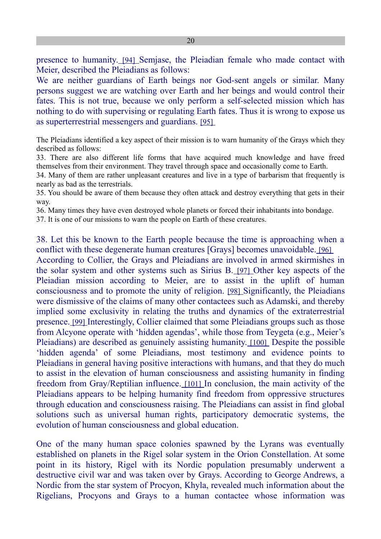presence to humanity. [\[94\]](file:///C:/Users/Willfort/Downloads/Report-ET Motivations.htm#_edn94) Semjase, the Pleiadian female who made contact with Meier, described the Pleiadians as follows:

We are neither guardians of Earth beings nor God-sent angels or similar. Many persons suggest we are watching over Earth and her beings and would control their fates. This is not true, because we only perform a self-selected mission which has nothing to do with supervising or regulating Earth fates. Thus it is wrong to expose us as superterrestrial messengers and guardians. [\[95\]](file:///C:/Users/Willfort/Downloads/Report-ET Motivations.htm#_edn95)

The Pleiadians identified a key aspect of their mission is to warn humanity of the Grays which they described as follows:

33. There are also different life forms that have acquired much knowledge and have freed themselves from their environment. They travel through space and occasionally come to Earth.

34. Many of them are rather unpleasant creatures and live in a type of barbarism that frequently is nearly as bad as the terrestrials.

35. You should be aware of them because they often attack and destroy everything that gets in their way.

36. Many times they have even destroyed whole planets or forced their inhabitants into bondage.

37. It is one of our missions to warn the people on Earth of these creatures.

38. Let this be known to the Earth people because the time is approaching when a conflict with these degenerate human creatures [Grays] becomes unavoidable. [\[96\]](file:///C:/Users/Willfort/Downloads/Report-ET Motivations.htm#_edn96)

According to Collier, the Grays and Pleiadians are involved in armed skirmishes in the solar system and other systems such as Sirius B. [\[97\]](file:///C:/Users/Willfort/Downloads/Report-ET Motivations.htm#_edn97) Other key aspects of the Pleiadian mission according to Meier, are to assist in the uplift of human consciousness and to promote the unity of religion. [\[98\]](file:///C:/Users/Willfort/Downloads/Report-ET Motivations.htm#_edn98) Significantly, the Pleiadians were dismissive of the claims of many other contactees such as Adamski, and thereby implied some exclusivity in relating the truths and dynamics of the extraterrestrial presence. [\[99\]](file:///C:/Users/Willfort/Downloads/Report-ET Motivations.htm#_edn99) Interestingly, Collier claimed that some Pleiadians groups such as those from Alcyone operate with 'hidden agendas', while those from Teygeta (e.g., Meier's Pleiadians) are described as genuinely assisting humanity. [\[100\]](file:///C:/Users/Willfort/Downloads/Report-ET Motivations.htm#_edn100) Despite the possible 'hidden agenda' of some Pleiadians, most testimony and evidence points to Pleiadians in general having positive interactions with humans, and that they do much to assist in the elevation of human consciousness and assisting humanity in finding freedom from Gray/Reptilian influence. [\[101\]](file:///C:/Users/Willfort/Downloads/Report-ET Motivations.htm#_edn101) In conclusion, the main activity of the Pleiadians appears to be helping humanity find freedom from oppressive structures through education and consciousness raising. The Pleiadians can assist in find global solutions such as universal human rights, participatory democratic systems, the evolution of human consciousness and global education.

One of the many human space colonies spawned by the Lyrans was eventually established on planets in the Rigel solar system in the Orion Constellation. At some point in its history, Rigel with its Nordic population presumably underwent a destructive civil war and was taken over by Grays. According to George Andrews, a Nordic from the star system of Procyon, Khyla, revealed much information about the Rigelians, Procyons and Grays to a human contactee whose information was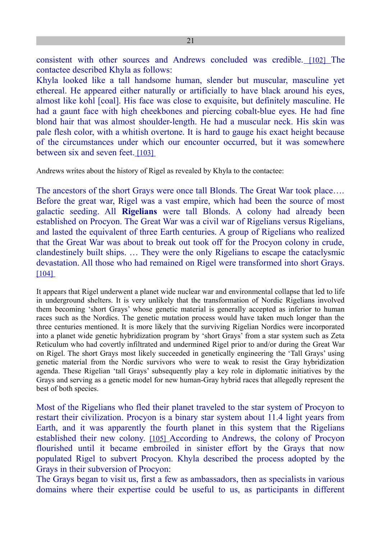consistent with other sources and Andrews concluded was credible. [\[102\]](file:///C:/Users/Willfort/Downloads/Report-ET Motivations.htm#_edn102) The contactee described Khyla as follows:

Khyla looked like a tall handsome human, slender but muscular, masculine yet ethereal. He appeared either naturally or artificially to have black around his eyes, almost like kohl [coal]. His face was close to exquisite, but definitely masculine. He had a gaunt face with high cheekbones and piercing cobalt-blue eyes. He had fine blond hair that was almost shoulder-length. He had a muscular neck. His skin was pale flesh color, with a whitish overtone. It is hard to gauge his exact height because of the circumstances under which our encounter occurred, but it was somewhere between six and seven feet. [\[103\]](file:///C:/Users/Willfort/Downloads/Report-ET Motivations.htm#_edn103)

Andrews writes about the history of Rigel as revealed by Khyla to the contactee:

The ancestors of the short Grays were once tall Blonds. The Great War took place…. Before the great war, Rigel was a vast empire, which had been the source of most galactic seeding. All **Rigelians** were tall Blonds. A colony had already been established on Procyon. The Great War was a civil war of Rigelians versus Rigelians, and lasted the equivalent of three Earth centuries. A group of Rigelians who realized that the Great War was about to break out took off for the Procyon colony in crude, clandestinely built ships. … They were the only Rigelians to escape the cataclysmic devastation. All those who had remained on Rigel were transformed into short Grays. [\[104\]](file:///C:/Users/Willfort/Downloads/Report-ET Motivations.htm#_edn104)

It appears that Rigel underwent a planet wide nuclear war and environmental collapse that led to life in underground shelters. It is very unlikely that the transformation of Nordic Rigelians involved them becoming 'short Grays' whose genetic material is generally accepted as inferior to human races such as the Nordics. The genetic mutation process would have taken much longer than the three centuries mentioned. It is more likely that the surviving Rigelian Nordics were incorporated into a planet wide genetic hybridization program by 'short Grays' from a star system such as Zeta Reticulum who had covertly infiltrated and undermined Rigel prior to and/or during the Great War on Rigel. The short Grays most likely succeeded in genetically engineering the 'Tall Grays' using genetic material from the Nordic survivors who were to weak to resist the Gray hybridization agenda. These Rigelian 'tall Grays' subsequently play a key role in diplomatic initiatives by the Grays and serving as a genetic model for new human-Gray hybrid races that allegedly represent the best of both species.

Most of the Rigelians who fled their planet traveled to the star system of Procyon to restart their civilization. Procyon is a binary star system about 11.4 light years from Earth, and it was apparently the fourth planet in this system that the Rigelians established their new colony. [\[105\]](file:///C:/Users/Willfort/Downloads/Report-ET Motivations.htm#_edn105) According to Andrews, the colony of Procyon flourished until it became embroiled in sinister effort by the Grays that now populated Rigel to subvert Procyon. Khyla described the process adopted by the Grays in their subversion of Procyon:

The Grays began to visit us, first a few as ambassadors, then as specialists in various domains where their expertise could be useful to us, as participants in different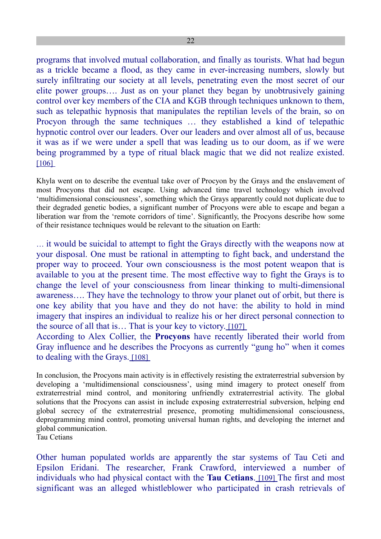programs that involved mutual collaboration, and finally as tourists. What had begun as a trickle became a flood, as they came in ever-increasing numbers, slowly but surely infiltrating our society at all levels, penetrating even the most secret of our elite power groups…. Just as on your planet they began by unobtrusively gaining control over key members of the CIA and KGB through techniques unknown to them, such as telepathic hypnosis that manipulates the reptilian levels of the brain, so on Procyon through the same techniques … they established a kind of telepathic hypnotic control over our leaders. Over our leaders and over almost all of us, because it was as if we were under a spell that was leading us to our doom, as if we were being programmed by a type of ritual black magic that we did not realize existed. [\[106\]](file:///C:/Users/Willfort/Downloads/Report-ET Motivations.htm#_edn106)

Khyla went on to describe the eventual take over of Procyon by the Grays and the enslavement of most Procyons that did not escape. Using advanced time travel technology which involved 'multidimensional consciousness', something which the Grays apparently could not duplicate due to their degraded genetic bodies, a significant number of Procyons were able to escape and began a liberation war from the 'remote corridors of time'. Significantly, the Procyons describe how some of their resistance techniques would be relevant to the situation on Earth:

… it would be suicidal to attempt to fight the Grays directly with the weapons now at your disposal. One must be rational in attempting to fight back, and understand the proper way to proceed. Your own consciousness is the most potent weapon that is available to you at the present time. The most effective way to fight the Grays is to change the level of your consciousness from linear thinking to multi-dimensional awareness…. They have the technology to throw your planet out of orbit, but there is one key ability that you have and they do not have: the ability to hold in mind imagery that inspires an individual to realize his or her direct personal connection to the source of all that is… That is your key to victory. [\[107\]](file:///C:/Users/Willfort/Downloads/Report-ET Motivations.htm#_edn107)

According to Alex Collier, the **Procyons** have recently liberated their world from Gray influence and he describes the Procyons as currently "gung ho" when it comes to dealing with the Grays. [\[108\]](file:///C:/Users/Willfort/Downloads/Report-ET Motivations.htm#_edn108)

In conclusion, the Procyons main activity is in effectively resisting the extraterrestrial subversion by developing a 'multidimensional consciousness', using mind imagery to protect oneself from extraterrestrial mind control, and monitoring unfriendly extraterrestrial activity. The global solutions that the Procyons can assist in include exposing extraterrestrial subversion, helping end global secrecy of the extraterrestrial presence, promoting multidimensional consciousness, deprogramming mind control, promoting universal human rights, and developing the internet and global communication.

Tau Cetians

Other human populated worlds are apparently the star systems of Tau Ceti and Epsilon Eridani. The researcher, Frank Crawford, interviewed a number of individuals who had physical contact with the **Tau Cetians**. [\[109\]](file:///C:/Users/Willfort/Downloads/Report-ET Motivations.htm#_edn109) The first and most significant was an alleged whistleblower who participated in crash retrievals of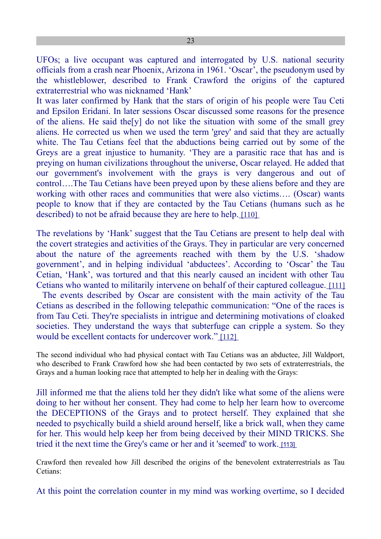UFOs; a live occupant was captured and interrogated by U.S. national security officials from a crash near Phoenix, Arizona in 1961. 'Oscar', the pseudonym used by the whistleblower, described to Frank Crawford the origins of the captured extraterrestrial who was nicknamed 'Hank'

It was later confirmed by Hank that the stars of origin of his people were Tau Ceti and Epsilon Eridani. In later sessions Oscar discussed some reasons for the presence of the aliens. He said the[y] do not like the situation with some of the small grey aliens. He corrected us when we used the term 'grey' and said that they are actually white. The Tau Cetians feel that the abductions being carried out by some of the Greys are a great injustice to humanity. 'They are a parasitic race that has and is preying on human civilizations throughout the universe, Oscar relayed. He added that our government's involvement with the grays is very dangerous and out of control….The Tau Cetians have been preyed upon by these aliens before and they are working with other races and communities that were also victims.... (Oscar) wants people to know that if they are contacted by the Tau Cetians (humans such as he described) to not be afraid because they are here to help. [\[110\]](file:///C:/Users/Willfort/Downloads/Report-ET Motivations.htm#_edn110)

The revelations by 'Hank' suggest that the Tau Cetians are present to help deal with the covert strategies and activities of the Grays. They in particular are very concerned about the nature of the agreements reached with them by the U.S. 'shadow government', and in helping individual 'abductees'. According to 'Oscar' the Tau Cetian, 'Hank', was tortured and that this nearly caused an incident with other Tau Cetians who wanted to militarily intervene on behalf of their captured colleague. [\[111\]](file:///C:/Users/Willfort/Downloads/Report-ET Motivations.htm#_edn111) The events described by Oscar are consistent with the main activity of the Tau Cetians as described in the following telepathic communication: "One of the races is from Tau Ceti. They're specialists in intrigue and determining motivations of cloaked societies. They understand the ways that subterfuge can cripple a system. So they would be excellent contacts for undercover work." [\[112\]](file:///C:/Users/Willfort/Downloads/Report-ET Motivations.htm#_edn112)

The second individual who had physical contact with Tau Cetians was an abductee, Jill Waldport, who described to Frank Crawford how she had been contacted by two sets of extraterrestrials, the Grays and a human looking race that attempted to help her in dealing with the Grays:

Jill informed me that the aliens told her they didn't like what some of the aliens were doing to her without her consent. They had come to help her learn how to overcome the DECEPTIONS of the Grays and to protect herself. They explained that she needed to psychically build a shield around herself, like a brick wall, when they came for her. This would help keep her from being deceived by their MIND TRICKS. She tried it the next time the Grey's came or her and it 'seemed' to work. [\[113\]](file:///C:/Users/Willfort/Downloads/Report-ET Motivations.htm#_edn113) 

Crawford then revealed how Jill described the origins of the benevolent extraterrestrials as Tau Cetians:

At this point the correlation counter in my mind was working overtime, so I decided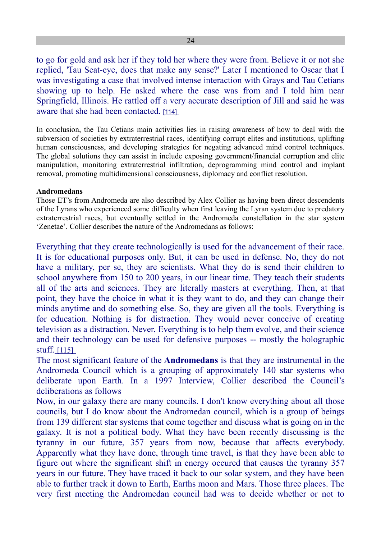to go for gold and ask her if they told her where they were from. Believe it or not she replied, 'Tau Seat-eye, does that make any sense?' Later I mentioned to Oscar that I was investigating a case that involved intense interaction with Grays and Tau Cetians showing up to help. He asked where the case was from and I told him near Springfield, Illinois. He rattled off a very accurate description of Jill and said he was aware that she had been contacted. [\[114\]](file:///C:/Users/Willfort/Downloads/Report-ET Motivations.htm#_edn114) 

In conclusion, the Tau Cetians main activities lies in raising awareness of how to deal with the subversion of societies by extraterrestrial races, identifying corrupt elites and institutions, uplifting human consciousness, and developing strategies for negating advanced mind control techniques. The global solutions they can assist in include exposing government/financial corruption and elite manipulation, monitoring extraterrestrial infiltration, deprogramming mind control and implant removal, promoting multidimensional consciousness, diplomacy and conflict resolution.

### **Andromedans**

Those ET's from Andromeda are also described by Alex Collier as having been direct descendents of the Lyrans who experienced some difficulty when first leaving the Lyran system due to predatory extraterrestrial races, but eventually settled in the Andromeda constellation in the star system 'Zenetae'. Collier describes the nature of the Andromedans as follows:

Everything that they create technologically is used for the advancement of their race. It is for educational purposes only. But, it can be used in defense. No, they do not have a military, per se, they are scientists. What they do is send their children to school anywhere from 150 to 200 years, in our linear time. They teach their students all of the arts and sciences. They are literally masters at everything. Then, at that point, they have the choice in what it is they want to do, and they can change their minds anytime and do something else. So, they are given all the tools. Everything is for education. Nothing is for distraction. They would never conceive of creating television as a distraction. Never. Everything is to help them evolve, and their science and their technology can be used for defensive purposes -- mostly the holographic stuff. [\[115\]](file:///C:/Users/Willfort/Downloads/Report-ET Motivations.htm#_edn115)

The most significant feature of the **Andromedans** is that they are instrumental in the Andromeda Council which is a grouping of approximately 140 star systems who deliberate upon Earth. In a 1997 Interview, Collier described the Council's deliberations as follows

Now, in our galaxy there are many councils. I don't know everything about all those councils, but I do know about the Andromedan council, which is a group of beings from 139 different star systems that come together and discuss what is going on in the galaxy. It is not a political body. What they have been recently discussing is the tyranny in our future, 357 years from now, because that affects everybody. Apparently what they have done, through time travel, is that they have been able to figure out where the significant shift in energy occured that causes the tyranny 357 years in our future. They have traced it back to our solar system, and they have been able to further track it down to Earth, Earths moon and Mars. Those three places. The very first meeting the Andromedan council had was to decide whether or not to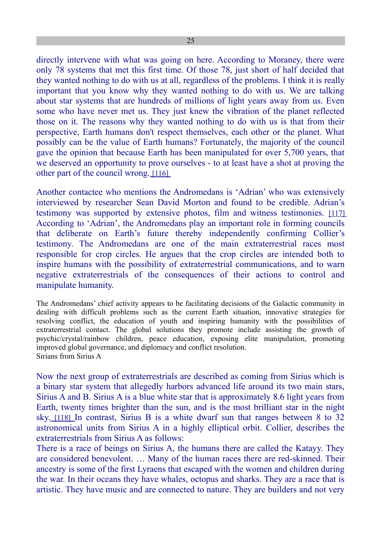directly intervene with what was going on here. According to Moraney, there were only 78 systems that met this first time. Of those 78, just short of half decided that they wanted nothing to do with us at all, regardless of the problems. I think it is really important that you know why they wanted nothing to do with us. We are talking about star systems that are hundreds of millions of light years away from us. Even some who have never met us. They just knew the vibration of the planet reflected those on it. The reasons why they wanted nothing to do with us is that from their perspective, Earth humans don't respect themselves, each other or the planet. What possibly can be the value of Earth humans? Fortunately, the majority of the council gave the opinion that because Earth has been manipulated for over 5,700 years, that we deserved an opportunity to prove ourselves - to at least have a shot at proving the other part of the council wrong. [\[116\]](file:///C:/Users/Willfort/Downloads/Report-ET Motivations.htm#_edn116)

Another contactee who mentions the Andromedans is 'Adrian' who was extensively interviewed by researcher Sean David Morton and found to be credible. Adrian's testimony was supported by extensive photos, film and witness testimonies. [\[117\]](file:///C:/Users/Willfort/Downloads/Report-ET Motivations.htm#_edn117) According to 'Adrian', the Andromedans play an important role in forming councils that deliberate on Earth's future thereby independently confirming Collier's testimony. The Andromedans are one of the main extraterrestrial races most responsible for crop circles. He argues that the crop circles are intended both to inspire humans with the possibility of extraterrestrial communications, and to warn negative extraterrestrials of the consequences of their actions to control and manipulate humanity.

The Andromedans' chief activity appears to be facilitating decisions of the Galactic community in dealing with difficult problems such as the current Earth situation, innovative strategies for resolving conflict, the education of youth and inspiring humanity with the possibilities of extraterrestrial contact. The global solutions they promote include assisting the growth of psychic/crystal/rainbow children, peace education, exposing elite manipulation, promoting improved global governance, and diplomacy and conflict resolution. Sirians from Sirius A

Now the next group of extraterrestrials are described as coming from Sirius which is a binary star system that allegedly harbors advanced life around its two main stars, Sirius A and B. Sirius A is a blue white star that is approximately 8.6 light years from Earth, twenty times brighter than the sun, and is the most brilliant star in the night sky. [\[118\]](file:///C:/Users/Willfort/Downloads/Report-ET Motivations.htm#_edn118) In contrast, Sirius B is a white dwarf sun that ranges between 8 to 32 astronomical units from Sirius A in a highly elliptical orbit. Collier, describes the extraterrestrials from Sirius A as follows:

There is a race of beings on Sirius A, the humans there are called the Katayy. They are considered benevolent. … Many of the human races there are red-skinned. Their ancestry is some of the first Lyraens that escaped with the women and children during the war. In their oceans they have whales, octopus and sharks. They are a race that is artistic. They have music and are connected to nature. They are builders and not very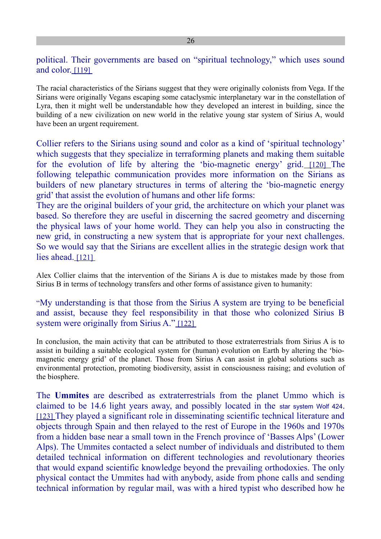## political. Their governments are based on "spiritual technology," which uses sound and color. [\[119\]](file:///C:/Users/Willfort/Downloads/Report-ET Motivations.htm#_edn119)

The racial characteristics of the Sirians suggest that they were originally colonists from Vega. If the Sirians were originally Vegans escaping some cataclysmic interplanetary war in the constellation of Lyra, then it might well be understandable how they developed an interest in building, since the building of a new civilization on new world in the relative young star system of Sirius A, would have been an urgent requirement.

Collier refers to the Sirians using sound and color as a kind of 'spiritual technology' which suggests that they specialize in terraforming planets and making them suitable for the evolution of life by altering the 'bio-magnetic energy' grid. [\[120\]](file:///C:/Users/Willfort/Downloads/Report-ET Motivations.htm#_edn120) The following telepathic communication provides more information on the Sirians as builders of new planetary structures in terms of altering the 'bio-magnetic energy grid' that assist the evolution of humans and other life forms:

They are the original builders of your grid, the architecture on which your planet was based. So therefore they are useful in discerning the sacred geometry and discerning the physical laws of your home world. They can help you also in constructing the new grid, in constructing a new system that is appropriate for your next challenges. So we would say that the Sirians are excellent allies in the strategic design work that lies ahead. [\[121\]](file:///C:/Users/Willfort/Downloads/Report-ET Motivations.htm#_edn121)

Alex Collier claims that the intervention of the Sirians A is due to mistakes made by those from Sirius B in terms of technology transfers and other forms of assistance given to humanity:

## "My understanding is that those from the Sirius A system are trying to be beneficial and assist, because they feel responsibility in that those who colonized Sirius B system were originally from Sirius A." [\[122\]](file:///C:/Users/Willfort/Downloads/Report-ET Motivations.htm#_edn122)

In conclusion, the main activity that can be attributed to those extraterrestrials from Sirius A is to assist in building a suitable ecological system for (human) evolution on Earth by altering the 'biomagnetic energy grid' of the planet. Those from Sirius A can assist in global solutions such as environmental protection, promoting biodiversity, assist in consciousness raising; and evolution of the biosphere.

The **Ummites** are described as extraterrestrials from the planet Ummo which is claimed to be 14.6 light years away, and possibly located in the star system Wolf 424. [\[123\]](file:///C:/Users/Willfort/Downloads/Report-ET Motivations.htm#_edn123) They played a significant role in disseminating scientific technical literature and objects through Spain and then relayed to the rest of Europe in the 1960s and 1970s from a hidden base near a small town in the French province of 'Basses Alps' (Lower Alps). The Ummites contacted a select number of individuals and distributed to them detailed technical information on different technologies and revolutionary theories that would expand scientific knowledge beyond the prevailing orthodoxies. The only physical contact the Ummites had with anybody, aside from phone calls and sending technical information by regular mail, was with a hired typist who described how he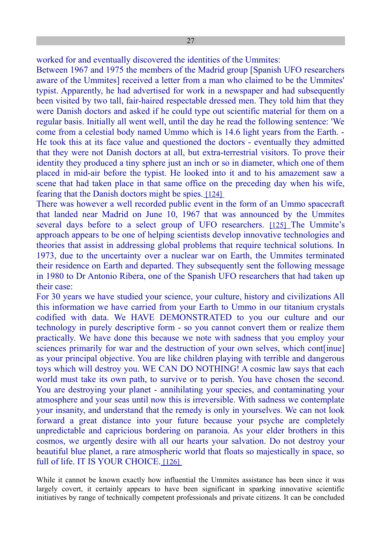worked for and eventually discovered the identities of the Ummites:

Between 1967 and 1975 the members of the Madrid group [Spanish UFO researchers aware of the Ummites] received a letter from a man who claimed to be the Ummites' typist. Apparently, he had advertised for work in a newspaper and had subsequently been visited by two tall, fair-haired respectable dressed men. They told him that they were Danish doctors and asked if he could type out scientific material for them on a regular basis. Initially all went well, until the day he read the following sentence: 'We come from a celestial body named Ummo which is 14.6 light years from the Earth. - He took this at its face value and questioned the doctors - eventually they admitted that they were not Danish doctors at all, but extra-terrestrial visitors. To prove their identity they produced a tiny sphere just an inch or so in diameter, which one of them placed in mid-air before the typist. He looked into it and to his amazement saw a scene that had taken place in that same office on the preceding day when his wife, fearing that the Danish doctors might be spies. [\[124\]](file:///C:/Users/Willfort/Downloads/Report-ET Motivations.htm#_edn124)

There was however a well recorded public event in the form of an Ummo spacecraft that landed near Madrid on June 10, 1967 that was announced by the Ummites several days before to a select group of UFO researchers. [\[125\]](file:///C:/Users/Willfort/Downloads/Report-ET Motivations.htm#_edn125) The Ummite's approach appears to be one of helping scientists develop innovative technologies and theories that assist in addressing global problems that require technical solutions. In 1973, due to the uncertainty over a nuclear war on Earth, the Ummites terminated their residence on Earth and departed. They subsequently sent the following message in 1980 to Dr Antonio Ribera, one of the Spanish UFO researchers that had taken up their case:

For 30 years we have studied your science, your culture, history and civilizations All this information we have carried from your Earth to Ummo in our titanium crystals codified with data. We HAVE DEMONSTRATED to you our culture and our technology in purely descriptive form - so you cannot convert them or realize them practically. We have done this because we note with sadness that you employ your sciences primarily for war and the destruction of your own selves, which cont[inue] as your principal objective. You are like children playing with terrible and dangerous toys which will destroy you. WE CAN DO NOTHING! A cosmic law says that each world must take its own path, to survive or to perish. You have chosen the second. You are destroying your planet - annihilating your species, and contaminating your atmosphere and your seas until now this is irreversible. With sadness we contemplate your insanity, and understand that the remedy is only in yourselves. We can not look forward a great distance into your future because your psyche are completely unpredictable and capricious bordering on paranoia. As your elder brothers in this cosmos, we urgently desire with all our hearts your salvation. Do not destroy your beautiful blue planet, a rare atmospheric world that floats so majestically in space, so full of life. IT IS YOUR CHOICE. [\[126\]](file:///C:/Users/Willfort/Downloads/Report-ET Motivations.htm#_edn126)

While it cannot be known exactly how influential the Ummites assistance has been since it was largely covert, it certainly appears to have been significant in sparking innovative scientific initiatives by range of technically competent professionals and private citizens. It can be concluded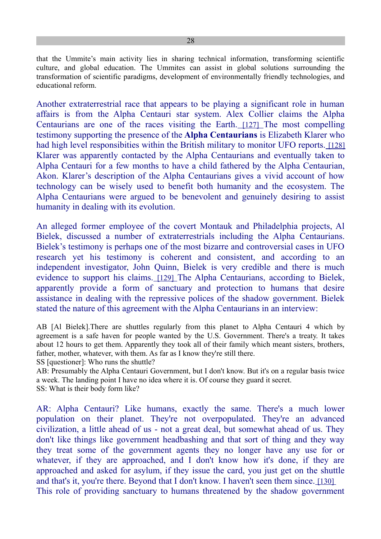that the Ummite's main activity lies in sharing technical information, transforming scientific culture, and global education. The Ummites can assist in global solutions surrounding the transformation of scientific paradigms, development of environmentally friendly technologies, and educational reform.

Another extraterrestrial race that appears to be playing a significant role in human affairs is from the Alpha Centauri star system. Alex Collier claims the Alpha Centaurians are one of the races visiting the Earth. [\[127\]](file:///C:/Users/Willfort/Downloads/Report-ET Motivations.htm#_edn127) The most compelling testimony supporting the presence of the **Alpha Centaurians** is Elizabeth Klarer who had high level responsibities within the British military to monitor UFO reports. [\[128\]](file:///C:/Users/Willfort/Downloads/Report-ET Motivations.htm#_edn128) Klarer was apparently contacted by the Alpha Centaurians and eventually taken to Alpha Centauri for a few months to have a child fathered by the Alpha Centaurian, Akon. Klarer's description of the Alpha Centaurians gives a vivid account of how technology can be wisely used to benefit both humanity and the ecosystem. The Alpha Centaurians were argued to be benevolent and genuinely desiring to assist humanity in dealing with its evolution.

An alleged former employee of the covert Montauk and Philadelphia projects, Al Bielek, discussed a number of extraterrestrials including the Alpha Centaurians. Bielek's testimony is perhaps one of the most bizarre and controversial cases in UFO research yet his testimony is coherent and consistent, and according to an independent investigator, John Quinn, Bielek is very credible and there is much evidence to support his claims. [\[129\]](file:///C:/Users/Willfort/Downloads/Report-ET Motivations.htm#_edn129) The Alpha Centaurians, according to Bielek, apparently provide a form of sanctuary and protection to humans that desire assistance in dealing with the repressive polices of the shadow government. Bielek stated the nature of this agreement with the Alpha Centaurians in an interview:

AB [Al Bielek].There are shuttles regularly from this planet to Alpha Centauri 4 which by agreement is a safe haven for people wanted by the U.S. Government. There's a treaty. It takes about 12 hours to get them. Apparently they took all of their family which meant sisters, brothers, father, mother, whatever, with them. As far as I know they're still there.

SS [questioner]: Who runs the shuttle?

AB: Presumably the Alpha Centauri Government, but I don't know. But it's on a regular basis twice a week. The landing point I have no idea where it is. Of course they guard it secret. SS: What is their body form like?

AR: Alpha Centauri? Like humans, exactly the same. There's a much lower population on their planet. They're not overpopulated. They're an advanced civilization, a little ahead of us - not a great deal, but somewhat ahead of us. They don't like things like government headbashing and that sort of thing and they way they treat some of the government agents they no longer have any use for or whatever, if they are approached, and I don't know how it's done, if they are approached and asked for asylum, if they issue the card, you just get on the shuttle and that's it, you're there. Beyond that I don't know. I haven't seen them since. [\[130\]](file:///C:/Users/Willfort/Downloads/Report-ET Motivations.htm#_edn130) This role of providing sanctuary to humans threatened by the shadow government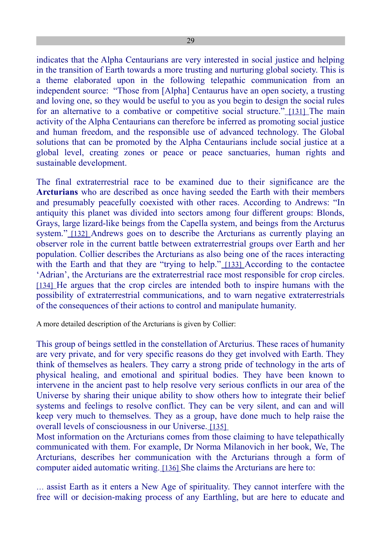indicates that the Alpha Centaurians are very interested in social justice and helping in the transition of Earth towards a more trusting and nurturing global society. This is a theme elaborated upon in the following telepathic communication from an independent source: "Those from [Alpha] Centaurus have an open society, a trusting and loving one, so they would be useful to you as you begin to design the social rules for an alternative to a combative or competitive social structure." [\[131\]](file:///C:/Users/Willfort/Downloads/Report-ET Motivations.htm#_edn131) The main activity of the Alpha Centaurians can therefore be inferred as promoting social justice and human freedom, and the responsible use of advanced technology. The Global solutions that can be promoted by the Alpha Centaurians include social justice at a global level, creating zones or peace or peace sanctuaries, human rights and sustainable development.

The final extraterrestrial race to be examined due to their significance are the **Arcturians** who are described as once having seeded the Earth with their members and presumably peacefully coexisted with other races. According to Andrews: "In antiquity this planet was divided into sectors among four different groups: Blonds, Grays, large lizard-like beings from the Capella system, and beings from the Arcturus system." [\[132\]](file:///C:/Users/Willfort/Downloads/Report-ET Motivations.htm#_edn132) Andrews goes on to describe the Arcturians as currently playing an observer role in the current battle between extraterrestrial groups over Earth and her population. Collier describes the Arcturians as also being one of the races interacting with the Earth and that they are "trying to help." [\[133\]](file:///C:/Users/Willfort/Downloads/Report-ET Motivations.htm#_edn133) According to the contactee 'Adrian', the Arcturians are the extraterrestrial race most responsible for crop circles. [\[134\]](file:///C:/Users/Willfort/Downloads/Report-ET Motivations.htm#_edn134) He argues that the crop circles are intended both to inspire humans with the possibility of extraterrestrial communications, and to warn negative extraterrestrials of the consequences of their actions to control and manipulate humanity.

A more detailed description of the Arcturians is given by Collier:

This group of beings settled in the constellation of Arcturius. These races of humanity are very private, and for very specific reasons do they get involved with Earth. They think of themselves as healers. They carry a strong pride of technology in the arts of physical healing, and emotional and spiritual bodies. They have been known to intervene in the ancient past to help resolve very serious conflicts in our area of the Universe by sharing their unique ability to show others how to integrate their belief systems and feelings to resolve conflict. They can be very silent, and can and will keep very much to themselves. They as a group, have done much to help raise the overall levels of consciousness in our Universe. [\[135\]](file:///C:/Users/Willfort/Downloads/Report-ET Motivations.htm#_edn135)

Most information on the Arcturians comes from those claiming to have telepathically communicated with them. For example, Dr Norma Milanovich in her book, We, The Arcturians, describes her communication with the Arcturians through a form of computer aided automatic writing. [\[136\]](file:///C:/Users/Willfort/Downloads/Report-ET Motivations.htm#_edn136) She claims the Arcturians are here to:

… assist Earth as it enters a New Age of spirituality. They cannot interfere with the free will or decision-making process of any Earthling, but are here to educate and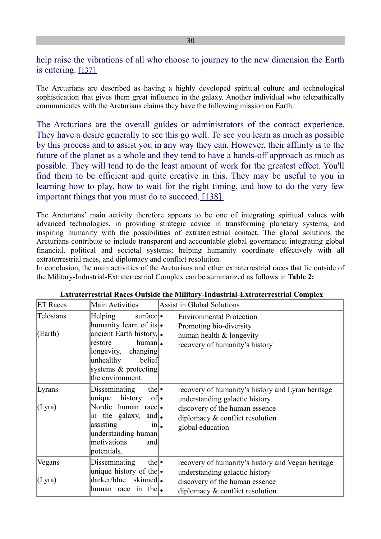## help raise the vibrations of all who choose to journey to the new dimension the Earth is entering. [\[137\]](file:///C:/Users/Willfort/Downloads/Report-ET Motivations.htm#_edn137)

The Arcturians are described as having a highly developed spiritual culture and technological sophistication that gives them great influence in the galaxy. Another individual who telepathically communicates with the Arcturians claims they have the following mission on Earth:

The Arcturians are the overall guides or administrators of the contact experience. They have a desire generally to see this go well. To see you learn as much as possible by this process and to assist you in any way they can. However, their affinity is to the future of the planet as a whole and they tend to have a hands-off approach as much as possible. They will tend to do the least amount of work for the greatest effect. You'll find them to be efficient and quite creative in this. They may be useful to you in learning how to play, how to wait for the right timing, and how to do the very few important things that you must do to succeed[. \[138\]](file:///C:/Users/Willfort/Downloads/Report-ET Motivations.htm#_edn138) 

The Arcturians' main activity therefore appears to be one of integrating spiritual values with advanced technologies, in providing strategic advice in transforming planetary systems, and inspiring humanity with the possibilities of extraterrestrial contact. The global solutions the Arcturians contribute to include transparent and accountable global governance; integrating global financial, political and societal systems; helping humanity coordinate effectively with all extraterrestrial races, and diplomacy and conflict resolution.

In conclusion, the main activities of the Arcturians and other extraterrestrial races that lie outside of the Military-Industrial-Extraterrestrial Complex can be summarized as follows in **Table 2:**

| <b>ET Races</b>      | Main Activities                                                                                                                                                                                               | Assist in Global Solutions                                                                                                                                                      |
|----------------------|---------------------------------------------------------------------------------------------------------------------------------------------------------------------------------------------------------------|---------------------------------------------------------------------------------------------------------------------------------------------------------------------------------|
| Telosians<br>(Earth) | Helping<br>surface<br>humanity learn of its $\bullet$<br>ancient Earth history,<br>$\text{human}$<br>restore<br>changing<br>longevity,<br>unhealthy<br>belief<br>systems & protecting<br>the environment.     | <b>Environmental Protection</b><br>Promoting bio-diversity<br>human health & longevity<br>recovery of humanity's history                                                        |
| Lyrans<br>(Lyra)     | Disseminating<br>the $\bullet$<br>unique<br>history<br>$of \bullet$<br>Nordic human race<br>in the galaxy,<br>and $\bullet$<br>assisting<br>$\ln$<br>understanding human<br>motivations<br>and<br>potentials. | recovery of humanity's history and Lyran heritage<br>understanding galactic history<br>discovery of the human essence<br>diplomacy $\&$ conflict resolution<br>global education |
| Vegans<br>(Lyra)     | Disseminating<br>the $\bullet$<br>unique history of the $\bullet$<br>darker/blue<br>skinned $\bullet$<br>human race in the                                                                                    | recovery of humanity's history and Vegan heritage<br>understanding galactic history<br>discovery of the human essence<br>diplomacy $\&$ conflict resolution                     |

#### **Extraterrestrial Races Outside the Military-Industrial-Extraterrestrial Complex**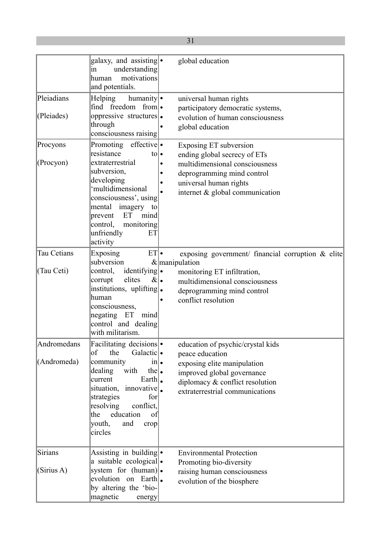|                | galaxy, and assisting $\bullet$<br>understanding<br>$\overline{\text{in}}$ | global education                                               |
|----------------|----------------------------------------------------------------------------|----------------------------------------------------------------|
|                | motivations<br>lhuman                                                      |                                                                |
|                | and potentials.                                                            |                                                                |
| Pleiadians     | Helping<br>humanity $\bullet$                                              | universal human rights                                         |
|                | find freedom<br>from $\bullet$                                             | participatory democratic systems,                              |
| (Pleiades)     | oppressive structures.                                                     | evolution of human consciousness                               |
|                | through                                                                    | global education                                               |
|                | consciousness raising                                                      |                                                                |
| Procyons       | Promoting effective                                                        | Exposing ET subversion                                         |
|                | resistance<br>$t \circ   \bullet$                                          | ending global secrecy of ETs                                   |
| (Procyon)      | extraterrestrial                                                           | multidimensional consciousness<br>$\bullet$                    |
|                | subversion,                                                                | deprogramming mind control                                     |
|                | developing                                                                 | universal human rights<br>$\bullet$                            |
|                | 'multidimensional                                                          | internet & global communication                                |
|                | consciousness', using                                                      |                                                                |
|                | mental<br>imagery<br>$\lceil$ to                                           |                                                                |
|                | ET<br>mind<br>prevent<br>control,                                          |                                                                |
|                | monitoring<br>unfriendly<br>ET                                             |                                                                |
|                | activity                                                                   |                                                                |
| Tau Cetians    | ET                                                                         |                                                                |
|                | Exposing<br>subversion                                                     | exposing government/ financial corruption & elite              |
| (Tau Ceti)     | identifying.<br>control,                                                   | $\&$ manipulation                                              |
|                | elites<br>$\alpha _{\bullet}$<br>corrupt                                   | monitoring ET infiltration,<br>multidimensional consciousness  |
|                | institutions, uplifting.                                                   |                                                                |
|                | human                                                                      | deprogramming mind control<br>conflict resolution<br>$\bullet$ |
|                | consciousness,                                                             |                                                                |
|                | negating<br>ET<br>mind                                                     |                                                                |
|                | control and dealing                                                        |                                                                |
|                | with militarism.                                                           |                                                                |
| Andromedans    | Facilitating decisions •                                                   | education of psychic/crystal kids                              |
|                | of<br>the<br>Galactic •                                                    | peace education                                                |
| (Andromeda)    | community<br>$\ln$                                                         | exposing elite manipulation                                    |
|                | with<br>dealing<br>the $\vert$                                             | improved global governance                                     |
|                | Earth<br>current                                                           | diplomacy & conflict resolution                                |
|                | situation,<br>innovative                                                   | extraterrestrial communications                                |
|                | strategies<br>for                                                          |                                                                |
|                | resolving<br>conflict,<br>education<br>the<br>of                           |                                                                |
|                | youth,<br>and<br>$\c{trop}$                                                |                                                                |
|                | circles                                                                    |                                                                |
|                |                                                                            |                                                                |
| <b>Sirians</b> | Assisting in building $\bullet$                                            | <b>Environmental Protection</b>                                |
|                | a suitable ecological $\bullet$                                            | Promoting bio-diversity                                        |
| (Sirius A)     | system for $(human)$ .                                                     | raising human consciousness                                    |
|                | evolution on Earth $\vert$ .                                               | evolution of the biosphere                                     |
|                | by altering the 'bio-                                                      |                                                                |
|                | magnetic<br>energy                                                         |                                                                |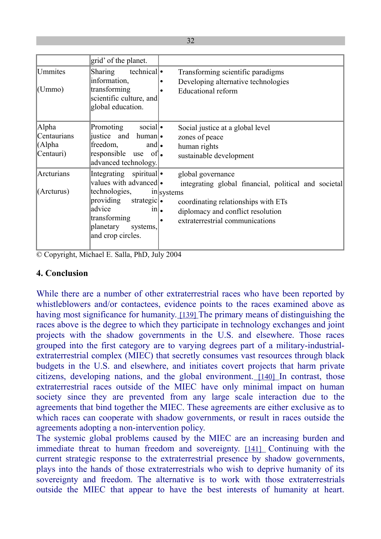|                                                | grid' of the planet.                                                                                                                                                                      |                                                                                                                                                                                                                     |
|------------------------------------------------|-------------------------------------------------------------------------------------------------------------------------------------------------------------------------------------------|---------------------------------------------------------------------------------------------------------------------------------------------------------------------------------------------------------------------|
| Ummites<br>(Ummo)                              | technical $\bullet$<br>Sharing<br>information,<br>transforming<br>scientific culture, and<br>global education.                                                                            | Transforming scientific paradigms<br>Developing alternative technologies<br><b>Educational reform</b>                                                                                                               |
| Alpha<br>Centaurians<br>$(A$ lpha<br>Centauri) | social $\bullet$<br>Promoting<br>$\left  \text{justice} \right $ and human<br>freedom,<br>and $\bullet$<br>responsible use of $\bullet$<br>advanced technology.                           | Social justice at a global level<br>zones of peace<br>human rights<br>sustainable development                                                                                                                       |
| Arcturians<br>(Arcturus)                       | Integrating spiritual.<br>values with advanced.<br>technologies,<br>providing<br>strategic $ _{\bullet}$<br>advice<br>$\ln$<br>transforming<br>planetary<br>systems,<br>and crop circles. | global governance<br>integrating global financial, political and societal<br>in systems<br>coordinating relationships with ETs<br>diplomacy and conflict resolution<br>extraterrestrial communications<br>$\bullet$ |

© Copyright, Michael E. Salla, PhD, July 2004

### **4. Conclusion**

While there are a number of other extraterrestrial races who have been reported by whistleblowers and/or contactees, evidence points to the races examined above as having most significance for humanity. [\[139\]](file:///C:/Users/Willfort/Downloads/Report-ET Motivations.htm#_edn139) The primary means of distinguishing the races above is the degree to which they participate in technology exchanges and joint projects with the shadow governments in the U.S. and elsewhere. Those races grouped into the first category are to varying degrees part of a military-industrialextraterrestrial complex (MIEC) that secretly consumes vast resources through black budgets in the U.S. and elsewhere, and initiates covert projects that harm private citizens, developing nations, and the global environment. [\[140\]](file:///C:/Users/Willfort/Downloads/Report-ET Motivations.htm#_edn140) In contrast, those extraterrestrial races outside of the MIEC have only minimal impact on human society since they are prevented from any large scale interaction due to the agreements that bind together the MIEC. These agreements are either exclusive as to which races can cooperate with shadow governments, or result in races outside the agreements adopting a non-intervention policy.

The systemic global problems caused by the MIEC are an increasing burden and immediate threat to human freedom and sovereignty. [\[141\]](file:///C:/Users/Willfort/Downloads/Report-ET Motivations.htm#_edn141) Continuing with the current strategic response to the extraterrestrial presence by shadow governments, plays into the hands of those extraterrestrials who wish to deprive humanity of its sovereignty and freedom. The alternative is to work with those extraterrestrials outside the MIEC that appear to have the best interests of humanity at heart.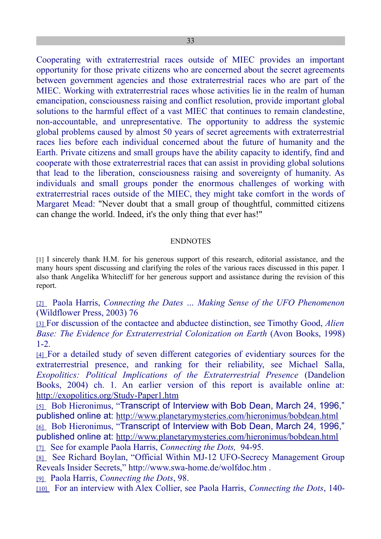Cooperating with extraterrestrial races outside of MIEC provides an important opportunity for those private citizens who are concerned about the secret agreements between government agencies and those extraterrestrial races who are part of the MIEC. Working with extraterrestrial races whose activities lie in the realm of human emancipation, consciousness raising and conflict resolution, provide important global solutions to the harmful effect of a vast MIEC that continues to remain clandestine, non-accountable, and unrepresentative. The opportunity to address the systemic global problems caused by almost 50 years of secret agreements with extraterrestrial races lies before each individual concerned about the future of humanity and the Earth. Private citizens and small groups have the ability capacity to identify, find and cooperate with those extraterrestrial races that can assist in providing global solutions that lead to the liberation, consciousness raising and sovereignty of humanity. As individuals and small groups ponder the enormous challenges of working with extraterrestrial races outside of the MIEC, they might take comfort in the words of Margaret Mead: "Never doubt that a small group of thoughtful, committed citizens can change the world. Indeed, it's the only thing that ever has!"

### ENDNOTES

[1] I sincerely thank H.M. for his generous support of this research, editorial assistance, and the many hours spent discussing and clarifying the roles of the various races discussed in this paper. I also thank Angelika Whitecliff for her generous support and assistance during the revision of this report.

 [\[2\]](file:///C:/Users/Willfort/Downloads/Report-ET Motivations.htm#_ednref2) Paola Harris, *Connecting the Dates … Making Sense of the UFO Phenomenon* (Wildflower Press, 2003) 76

 [\[3\]](file:///C:/Users/Willfort/Downloads/Report-ET Motivations.htm#_ednref3) For discussion of the contactee and abductee distinction, see Timothy Good, *Alien Base: The Evidence for Extraterrestrial Colonization on Earth (Avon Books, 1998)*  $1 - 2$ .

 [\[4\]](file:///C:/Users/Willfort/Downloads/Report-ET Motivations.htm#_ednref4) For a detailed study of seven different categories of evidentiary sources for the extraterrestrial presence, and ranking for their reliability, see Michael Salla, *Exopolitics: Political Implications of the Extraterrestrial Presence* (Dandelion Books, 2004) ch. 1. An earlier version of this report is available online at: <http://exopolitics.org/Study-Paper1.htm>

[\[5\]](file:///C:/Users/Willfort/Downloads/Report-ET Motivations.htm#_ednref5) Bob Hieronimus, "Transcript of Interview with Bob Dean, March 24, 1996," published online at: <http://www.planetarymysteries.com/hieronimus/bobdean.html> [\[6\]](file:///C:/Users/Willfort/Downloads/Report-ET Motivations.htm#_ednref6) Bob Hieronimus, "Transcript of Interview with Bob Dean, March 24, 1996," published online at: <http://www.planetarymysteries.com/hieronimus/bobdean.html>

[\[7\]](file:///C:/Users/Willfort/Downloads/Report-ET Motivations.htm#_ednref7) See for example Paola Harris, *Connecting the Dots,* 94-95.

 [\[8\]](file:///C:/Users/Willfort/Downloads/Report-ET Motivations.htm#_ednref8) See Richard Boylan, "Official Within MJ-12 UFO-Secrecy Management Group Reveals Insider Secrets," http://www.swa-home.de/wolfdoc.htm .

[\[9\]](file:///C:/Users/Willfort/Downloads/Report-ET Motivations.htm#_ednref9) Paola Harris, *Connecting the Dots*, 98.

[\[10\]](file:///C:/Users/Willfort/Downloads/Report-ET Motivations.htm#_ednref10) For an interview with Alex Collier, see Paola Harris, *Connecting the Dots*, 140-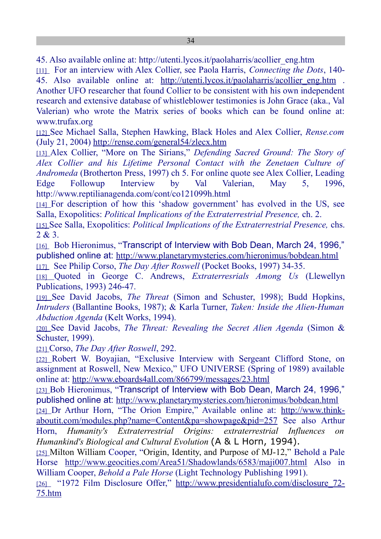45. Also available online at: http://utenti.lycos.it/paolaharris/acollier\_eng.htm

 [\[11\]](file:///C:/Users/Willfort/Downloads/Report-ET Motivations.htm#_ednref11) For an interview with Alex Collier, see Paola Harris, *Connecting the Dots*, 140- 45. Also available online at: [http://utenti.lycos.it/paolaharris/acollier\\_eng.htm](http://utenti.lycos.it/paolaharris/acollier_eng.htm) .

Another UFO researcher that found Collier to be consistent with his own independent research and extensive database of whistleblower testimonies is John Grace (aka., Val Valerian) who wrote the Matrix series of books which can be found online at: www.trufax.org

 [\[12\]](file:///C:/Users/Willfort/Downloads/Report-ET Motivations.htm#_ednref12) See Michael Salla, Stephen Hawking, Black Holes and Alex Collier, *Rense.com* (July 21, 2004)<http://rense.com/general54/zlecx.htm>

 [\[13\]](file:///C:/Users/Willfort/Downloads/Report-ET Motivations.htm#_ednref13) Alex Collier, "More on The Sirians," *Defending Sacred Ground: The Story of Alex Collier and his Lifetime Personal Contact with the Zenetaen Culture of Andromeda* (Brotherton Press, 1997) ch 5. For online quote see Alex Collier, Leading Edge Followup Interview by Val Valerian, May 5, 1996, http://www.reptilianagenda.com/cont/co121099h.html

 [\[14\]](file:///C:/Users/Willfort/Downloads/Report-ET Motivations.htm#_ednref14) For description of how this 'shadow government' has evolved in the US, see Salla, Exopolitics: *Political Implications of the Extraterrestrial Presence,* ch. 2.

 [\[15\]](file:///C:/Users/Willfort/Downloads/Report-ET Motivations.htm#_ednref15) See Salla, Exopolitics: *Political Implications of the Extraterrestrial Presence,* chs.  $2 & 3$ .

[\[16\]](file:///C:/Users/Willfort/Downloads/Report-ET Motivations.htm#_ednref16) Bob Hieronimus, "Transcript of Interview with Bob Dean, March 24, 1996," published online at: <http://www.planetarymysteries.com/hieronimus/bobdean.html> [\[17\]](file:///C:/Users/Willfort/Downloads/Report-ET Motivations.htm#_ednref17) See Philip Corso, *The Day After Roswell* (Pocket Books, 1997) 34-35.

 [\[18\]](file:///C:/Users/Willfort/Downloads/Report-ET Motivations.htm#_ednref18) Quoted in George C. Andrews, *Extraterresrials Among Us* (Llewellyn Publications, 1993) 246-47.

 [\[19\]](file:///C:/Users/Willfort/Downloads/Report-ET Motivations.htm#_ednref19) See David Jacobs, *The Threat* (Simon and Schuster, 1998); Budd Hopkins, *Intruders* (Ballantine Books, 1987); & Karla Turner, *Taken: Inside the Alien-Human Abduction Agenda* (Kelt Works, 1994).

 [\[20\]](file:///C:/Users/Willfort/Downloads/Report-ET Motivations.htm#_ednref20) See David Jacobs, *The Threat: Revealing the Secret Alien Agenda* (Simon & Schuster, 1999).

[\[21\]](file:///C:/Users/Willfort/Downloads/Report-ET Motivations.htm#_ednref21) Corso, *The Day After Roswell*, 292.

[\[22\]](file:///C:/Users/Willfort/Downloads/Report-ET Motivations.htm#_ednref22) Robert W. Boyajian, "Exclusive Interview with Sergeant Clifford Stone, on assignment at Roswell, New Mexico," UFO UNIVERSE (Spring of 1989) available online at:<http://www.eboards4all.com/866799/messages/23.html>

[\[23\]](file:///C:/Users/Willfort/Downloads/Report-ET Motivations.htm#_ednref23) Bob Hieronimus, "Transcript of Interview with Bob Dean, March 24, 1996," published online at: <http://www.planetarymysteries.com/hieronimus/bobdean.html>

 [\[24\]](file:///C:/Users/Willfort/Downloads/Report-ET Motivations.htm#_ednref24) Dr Arthur Horn, "The Orion Empire," Available online at: [http://www.think](http://www.think-aboutit.com/modules.php?name=Content&pa=showpage&pid=257)[aboutit.com/modules.php?name=Content&pa=showpage&pid=257](http://www.think-aboutit.com/modules.php?name=Content&pa=showpage&pid=257) See also Arthur Horn, *Humanity's Extraterrestrial Origins: extraterrestrial Influences on Humankind's Biological and Cultural Evolution* (A & L Horn, 1994).

[\[25\]](file:///C:/Users/Willfort/Downloads/Report-ET Motivations.htm#_ednref25) Milton William Cooper, "Origin, Identity, and Purpose of MJ-12," Behold a Pale Horse<http://www.geocities.com/Area51/Shadowlands/6583/maji007.html>Also in William Cooper, *Behold a Pale Horse* (Light Technology Publishing 1991).

 [\[26\]](file:///C:/Users/Willfort/Downloads/Report-ET Motivations.htm#_ednref26) "1972 Film Disclosure Offer," [http://www.presidentialufo.com/disclosure\\_72-](http://www.presidentialufo.com/disclosure_72-75.htm) [75.htm](http://www.presidentialufo.com/disclosure_72-75.htm)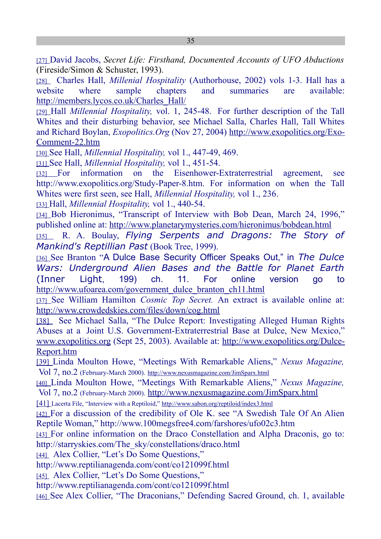[\[27\]](file:///C:/Users/Willfort/Downloads/Report-ET Motivations.htm#_ednref27) David Jacobs, *Secret Life: Firsthand, Documented Accounts of UFO Abductions* (Fireside/Simon & Schuster, 1993).

 [\[28\]](file:///C:/Users/Willfort/Downloads/Report-ET Motivations.htm#_ednref28) Charles Hall, *Millenial Hospitality* (Authorhouse, 2002) vols 1-3. Hall has a website where sample chapters and summaries are available: [http://members.lycos.co.uk/Charles\\_Hall/](http://members.lycos.co.uk/Charles_Hall/)

 [\[29\]](file:///C:/Users/Willfort/Downloads/Report-ET Motivations.htm#_ednref29) Hall *Millennial Hospitality,* vol. 1, 245-48. For further description of the Tall Whites and their disturbing behavior, see Michael Salla, Charles Hall, Tall Whites and Richard Boylan, *Exopolitics.Org* (Nov 27, 2004) [http://www.exopolitics.org/Exo-](http://www.exopolitics.org/Exo-Comment-22.htm)[Comment-22.htm](http://www.exopolitics.org/Exo-Comment-22.htm)

[\[30\]](file:///C:/Users/Willfort/Downloads/Report-ET Motivations.htm#_ednref30) See Hall, *Millennial Hospitality,* vol 1., 447-49, 469.

[\[31\]](file:///C:/Users/Willfort/Downloads/Report-ET Motivations.htm#_ednref31) See Hall, *Millennial Hospitality,* vol 1., 451-54.

 [\[32\]](file:///C:/Users/Willfort/Downloads/Report-ET Motivations.htm#_ednref32) For information on the Eisenhower-Extraterrestrial agreement, see http://www.exopolitics.org/Study-Paper-8.htm. For information on when the Tall Whites were first seen, see Hall, *Millennial Hospitality,* vol 1., 236.

[\[33\]](file:///C:/Users/Willfort/Downloads/Report-ET Motivations.htm#_ednref33) Hall, *Millennial Hospitality,* vol 1., 440-54.

[\[34\]](file:///C:/Users/Willfort/Downloads/Report-ET Motivations.htm#_ednref34) Bob Hieronimus, "Transcript of Interview with Bob Dean, March 24, 1996," published online at:<http://www.planetarymysteries.com/hieronimus/bobdean.html>

 [\[35\]](file:///C:/Users/Willfort/Downloads/Report-ET Motivations.htm#_ednref35) R. A. Boulay, *Flying Serpents and Dragons: The Story of Mankind's Reptillian Past* (Book Tree, 1999).

 [\[36\]](file:///C:/Users/Willfort/Downloads/Report-ET Motivations.htm#_ednref36) See Branton "A Dulce Base Security Officer Speaks Out," in *The Dulce Wars: Underground Alien Bases and the Battle for Planet Earth* (Inner Light, 199) ch. 11. For online version go to [http://www.ufoarea.com/government\\_dulce\\_branton\\_ch11.html](http://www.ufoarea.com/government_dulce_branton_ch11.html)

 [\[37\]](file:///C:/Users/Willfort/Downloads/Report-ET Motivations.htm#_ednref37) See William Hamilton *Cosmic Top Secret.* An extract is available online at: <http://www.crowdedskies.com/files/down/cog.html>

 [\[38\]](file:///C:/Users/Willfort/Downloads/Report-ET Motivations.htm#_ednref38) See Michael Salla, "The Dulce Report: Investigating Alleged Human Rights Abuses at a Joint U.S. Government-Extraterrestrial Base at Dulce, New Mexico," [www.exopolitics.org](http://www.exopolitics.org/) (Sept 25, 2003). Available at: [http://www.exopolitics.org/Dulce-](http://www.exopolitics.org/Dulce-Report.htm)[Report.htm](http://www.exopolitics.org/Dulce-Report.htm)

 [\[39\]](file:///C:/Users/Willfort/Downloads/Report-ET Motivations.htm#_ednref39) Linda Moulton Howe, "Meetings With Remarkable Aliens," *Nexus Magazine,* Vol 7, no.2 (February-March 2000). <http://www.nexusmagazine.com/JimSparx.html>

 [\[40\]](file:///C:/Users/Willfort/Downloads/Report-ET Motivations.htm#_ednref40) Linda Moulton Howe, "Meetings With Remarkable Aliens," *Nexus Magazine,* Vol 7, no.2 (February-March 2000). <http://www.nexusmagazine.com/JimSparx.html>

[\[41\]](file:///C:/Users/Willfort/Downloads/Report-ET Motivations.htm#_ednref41) Lacerta File, "Interview with a Reptiloid,"<http://www.sabon.org/reptiloid/index3.html>

 [\[42\]](file:///C:/Users/Willfort/Downloads/Report-ET Motivations.htm#_ednref42) For a discussion of the credibility of Ole K. see "A Swedish Tale Of An Alien Reptile Woman," http://www.100megsfree4.com/farshores/ufo02c3.htm

 [\[43\]](file:///C:/Users/Willfort/Downloads/Report-ET Motivations.htm#_ednref43) For online information on the Draco Constellation and Alpha Draconis, go to: http://starryskies.com/The\_sky/constellations/draco.html

[\[44\]](file:///C:/Users/Willfort/Downloads/Report-ET Motivations.htm#_ednref44) Alex Collier, "Let's Do Some Questions,"

http://www.reptilianagenda.com/cont/co121099f.html

[\[45\]](file:///C:/Users/Willfort/Downloads/Report-ET Motivations.htm#_ednref45) Alex Collier, "Let's Do Some Questions,"

http://www.reptilianagenda.com/cont/co121099f.html

[\[46\]](file:///C:/Users/Willfort/Downloads/Report-ET Motivations.htm#_ednref46) See Alex Collier, "The Draconians," Defending Sacred Ground, ch. 1, available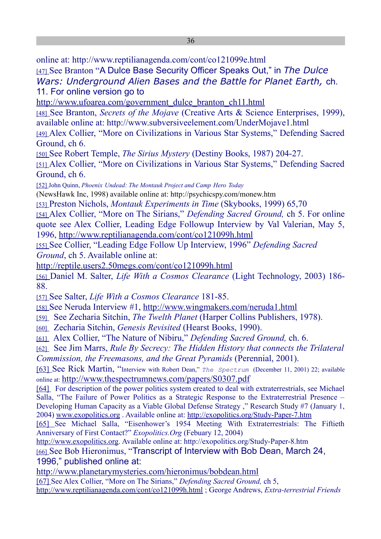online at: http://www.reptilianagenda.com/cont/co121099e.html

 [\[47\]](file:///C:/Users/Willfort/Downloads/Report-ET Motivations.htm#_ednref47) See Branton "A Dulce Base Security Officer Speaks Out," in *The Dulce Wars: Underground Alien Bases and the Battle for Planet Earth,* ch. 11. For online version go to

[http://www.ufoarea.com/government\\_dulce\\_branton\\_ch11.html](http://www.ufoarea.com/government_dulce_branton_ch11.html)

 [\[48\]](file:///C:/Users/Willfort/Downloads/Report-ET Motivations.htm#_ednref48) See Branton, *Secrets of the Mojave* (Creative Arts & Science Enterprises, 1999), available online at: http://www.subversiveelement.com/UnderMojave1.html

 [\[49\]](file:///C:/Users/Willfort/Downloads/Report-ET Motivations.htm#_ednref49) Alex Collier, "More on Civilizations in Various Star Systems," Defending Sacred Ground, ch 6.

[\[50\]](file:///C:/Users/Willfort/Downloads/Report-ET Motivations.htm#_ednref50) See Robert Temple, *The Sirius Mystery* (Destiny Books, 1987) 204-27.

 [\[51\]](file:///C:/Users/Willfort/Downloads/Report-ET Motivations.htm#_ednref51) Alex Collier, "More on Civilizations in Various Star Systems," Defending Sacred Ground, ch 6.

 [\[52\]](file:///C:/Users/Willfort/Downloads/Report-ET Motivations.htm#_ednref52) John Quinn, *Phoenix Undead: The Montauk Project and Camp Hero Today* 

(NewsHawk Inc, 1998) available online at: http://psychicspy.com/monew.htm

[\[53\]](file:///C:/Users/Willfort/Downloads/Report-ET Motivations.htm#_ednref53) Preston Nichols, *Montauk Experiments in Time* (Skybooks, 1999) 65,70

 [\[54\]](file:///C:/Users/Willfort/Downloads/Report-ET Motivations.htm#_ednref54) Alex Collier, "More on The Sirians," *Defending Sacred Ground,* ch 5. For online quote see Alex Collier, Leading Edge Followup Interview by Val Valerian, May 5, 1996,<http://www.reptilianagenda.com/cont/co121099h.html>

 [\[55\]](file:///C:/Users/Willfort/Downloads/Report-ET Motivations.htm#_ednref55) See Collier, "Leading Edge Follow Up Interview, 1996" *Defending Sacred Ground*, ch 5. Available online at:

<http://reptile.users2.50megs.com/cont/co121099h.html>

 [\[56\]](file:///C:/Users/Willfort/Downloads/Report-ET Motivations.htm#_ednref56) Daniel M. Salter, *Life With a Cosmos Clearance* (Light Technology, 2003) 186- 88.

[\[57\]](file:///C:/Users/Willfort/Downloads/Report-ET Motivations.htm#_ednref57) See Salter, *Life With a Cosmos Clearance* 181-85.

[\[58\]](file:///C:/Users/Willfort/Downloads/Report-ET Motivations.htm#_ednref58) See Neruda Interview #1,<http://www.wingmakers.com/neruda1.html>

[\[59\]](file:///C:/Users/Willfort/Downloads/Report-ET Motivations.htm#_ednref59) See Zecharia Sitchin, *The Twelth Planet* (Harper Collins Publishers, 1978).

[\[60\]](file:///C:/Users/Willfort/Downloads/Report-ET Motivations.htm#_ednref60) Zecharia Sitchin, *Genesis Revisited* (Hearst Books, 1990).

[\[61\]](file:///C:/Users/Willfort/Downloads/Report-ET Motivations.htm#_ednref61) Alex Collier, "The Nature of Nibiru," *Defending Sacred Ground,* ch. 6.

 [\[62\]](file:///C:/Users/Willfort/Downloads/Report-ET Motivations.htm#_ednref62) See Jim Marrs, *Rule By Secrecy: The Hidden History that connects the Trilateral Commission, the Freemasons, and the Great Pyramids* (Perennial, 2001).

 [\[63\]](file:///C:/Users/Willfort/Downloads/Report-ET Motivations.htm#_ednref63) See Rick Martin, "Interview with Robert Dean," *The Spectrum* (December 11, 2001) 22; available online at: <http://www.thespectrumnews.com/papers/S0307.pdf>

 [\[64\]](file:///C:/Users/Willfort/Downloads/Report-ET Motivations.htm#_ednref64) For description of the power politics system created to deal with extraterrestrials, see Michael Salla, "The Failure of Power Politics as a Strategic Response to the Extraterrestrial Presence – Developing Human Capacity as a Viable Global Defense Strategy ," Research Study #7 (January 1, 2004) [www.exopolitics.org](http://www.exopolitics.org/) . Available online at:<http://exopolitics.org/Study-Paper-7.htm>

 [\[65\]](file:///C:/Users/Willfort/Downloads/Report-ET Motivations.htm#_ednref65) See Michael Salla, "Eisenhower's 1954 Meeting With Extraterrestrials: The Fiftieth Anniversary of First Contact?" *Exopolitics.Org* (Febuary 12, 2004)

[http://www.exopolitics.org.](http://www.exopolitics.org/) Available online at: http://exopolitics.org/Study-Paper-8.htm

 [\[66\]](file:///C:/Users/Willfort/Downloads/Report-ET Motivations.htm#_ednref66) See Bob Hieronimus, "Transcript of Interview with Bob Dean, March 24, 1996," published online at:

<http://www.planetarymysteries.com/hieronimus/bobdean.html>

 [\[67\]](file:///C:/Users/Willfort/Downloads/Report-ET Motivations.htm#_ednref67) See Alex Collier, "More on The Sirians," *Defending Sacred Ground,* ch 5, <http://www.reptilianagenda.com/cont/co121099h.html>; George Andrews, *Extra-terrestrial Friends*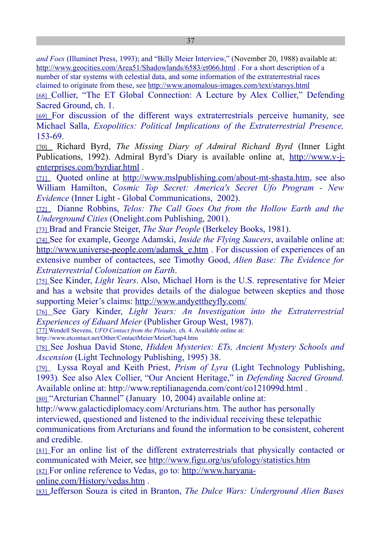*and Foes* (Illuminet Press, 1993); and "Billy Meier Interview," (November 20, 1988) available at: <http://www.geocities.com/Area51/Shadowlands/6583/et066.html>. For a short description of a number of star systems with celestial data, and some information of the extraterrestrial races claimed to originate from these, see<http://www.anomalous-images.com/text/starsys.html>

 [\[68\]](file:///C:/Users/Willfort/Downloads/Report-ET Motivations.htm#_ednref68) Collier, "The ET Global Connection: A Lecture by Alex Collier," Defending Sacred Ground, ch. 1.

 [\[69\]](file:///C:/Users/Willfort/Downloads/Report-ET Motivations.htm#_ednref69) For discussion of the different ways extraterrestrials perceive humanity, see Michael Salla, *Exopolitics: Political Implications of the Extraterrestrial Presence,* 153-69.

 [\[70\]](file:///C:/Users/Willfort/Downloads/Report-ET Motivations.htm#_ednref70) Richard Byrd, *The Missing Diary of Admiral Richard Byrd* (Inner Light Publications, 1992). Admiral Byrd's Diary is available online at, [http://www.v-j](http://www.v-j-enterprises.com/byrdiar.html)[enterprises.com/byrdiar.html](http://www.v-j-enterprises.com/byrdiar.html) .

 [\[71\]](file:///C:/Users/Willfort/Downloads/Report-ET Motivations.htm#_ednref71) Quoted online at [http://www.mslpublishing.com/about-mt-shasta.htm,](http://www.mslpublishing.com/about-mt-shasta.htm) see also William Hamilton, *Cosmic Top Secret: America's Secret Ufo Program - New Evidence* (Inner Light - Global Communications, 2002).

 [\[72\]](file:///C:/Users/Willfort/Downloads/Report-ET Motivations.htm#_ednref72) Dianne Robbins, *Telos: The Call Goes Out from the Hollow Earth and the Underground Cities* (Onelight.com Publishing, 2001).

[\[73\]](file:///C:/Users/Willfort/Downloads/Report-ET Motivations.htm#_ednref73) Brad and Francie Steiger, *The Star People* (Berkeley Books, 1981).

 [\[74\]](file:///C:/Users/Willfort/Downloads/Report-ET Motivations.htm#_ednref74) See for example, George Adamski, *Inside the Flying Saucers*, available online at: [http://www.universe-people.com/adamsk\\_e.htm](http://www.universe-people.com/adamsk_e.htm) . For discussion of experiences of an extensive number of contactees, see Timothy Good, *Alien Base: The Evidence for Extraterrestrial Colonization on Earth*.

[\[75\]](file:///C:/Users/Willfort/Downloads/Report-ET Motivations.htm#_ednref75) See Kinder, *Light Years*. Also, Michael Horn is the U.S. representative for Meier and has a website that provides details of the dialogue between skeptics and those supporting Meier's claims:<http://www.andyettheyfly.com/>

 [\[76\]](file:///C:/Users/Willfort/Downloads/Report-ET Motivations.htm#_ednref76) See Gary Kinder, *Light Years: An Investigation into the Extraterrestrial Experiences of Eduard Meier* (Publisher Group West, 1987).

 [\[77\]](file:///C:/Users/Willfort/Downloads/Report-ET Motivations.htm#_ednref77) Wendell Stevens, *UFO Contact from the Pleiades,* ch. 4. Available online at:

http://www.etcontact.net/Other/ContactMeier/MeierChap4.htm

 [\[78\]](file:///C:/Users/Willfort/Downloads/Report-ET Motivations.htm#_ednref78) See Joshua David Stone, *Hidden Mysteries: ETs, Ancient Mystery Schools and Ascension* (Light Technology Publishing, 1995) 38.

 [\[79\]](file:///C:/Users/Willfort/Downloads/Report-ET Motivations.htm#_ednref79) Lyssa Royal and Keith Priest, *Prism of Lyra* (Light Technology Publishing, 1993)*.* See also Alex Collier, "Our Ancient Heritage," in *Defending Sacred Ground.* Available online at: http://www.reptilianagenda.com/cont/co121099d.html .

[\[80\]](file:///C:/Users/Willfort/Downloads/Report-ET Motivations.htm#_ednref80) "Arcturian Channel" (January 10, 2004) available online at:

http://www.galacticdiplomacy.com/Arcturians.htm. The author has personally

interviewed, questioned and listened to the individual receiving these telepathic communications from Arcturians and found the information to be consistent, coherent and credible.

 [\[81\]](file:///C:/Users/Willfort/Downloads/Report-ET Motivations.htm#_ednref81) For an online list of the different extraterrestrials that physically contacted or communicated with Meier, see<http://www.figu.org/us/ufology/statistics.htm>

[\[82\]](file:///C:/Users/Willfort/Downloads/Report-ET Motivations.htm#_ednref82) For online reference to Vedas, go to: [http://www.haryana-](http://www.haryana-online.com/History/vedas.htm)

[online.com/History/vedas.htm](http://www.haryana-online.com/History/vedas.htm) .

[\[83\]](file:///C:/Users/Willfort/Downloads/Report-ET Motivations.htm#_ednref83) Jefferson Souza is cited in Branton, *The Dulce Wars: Underground Alien Bases*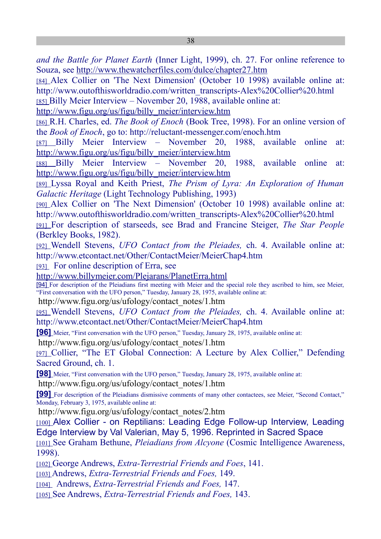*and the Battle for Planet Earth* (Inner Light, 1999), ch. 27. For online reference to Souza, see<http://www.thewatcherfiles.com/dulce/chapter27.htm>

 [\[84\]](file:///C:/Users/Willfort/Downloads/Report-ET Motivations.htm#_ednref84) Alex Collier on 'The Next Dimension' (October 10 1998) available online at: http://www.outofthisworldradio.com/written\_transcripts-Alex%20Collier%20.html [\[85\]](file:///C:/Users/Willfort/Downloads/Report-ET Motivations.htm#_ednref85) Billy Meier Interview – November 20, 1988, available online at:

[http://www.figu.org/us/figu/billy\\_meier/interview.htm](http://www.figu.org/us/figu/billy_meier/interview.htm)

 [\[86\]](file:///C:/Users/Willfort/Downloads/Report-ET Motivations.htm#_ednref86) R.H. Charles, ed. *The Book of Enoch* (Book Tree, 1998). For an online version of the *Book of Enoch*, go to: http://reluctant-messenger.com/enoch.htm

 [\[87\]](file:///C:/Users/Willfort/Downloads/Report-ET Motivations.htm#_ednref87) Billy Meier Interview – November 20, 1988, available online at: [http://www.figu.org/us/figu/billy\\_meier/interview.htm](http://www.figu.org/us/figu/billy_meier/interview.htm)

 [\[88\]](file:///C:/Users/Willfort/Downloads/Report-ET Motivations.htm#_ednref88) Billy Meier Interview – November 20, 1988, available online at: [http://www.figu.org/us/figu/billy\\_meier/interview.htm](http://www.figu.org/us/figu/billy_meier/interview.htm)

 [\[89\]](file:///C:/Users/Willfort/Downloads/Report-ET Motivations.htm#_ednref89) Lyssa Royal and Keith Priest, *The Prism of Lyra: An Exploration of Human Galactic Heritage* (Light Technology Publishing, 1993)

 [\[90\]](file:///C:/Users/Willfort/Downloads/Report-ET Motivations.htm#_ednref90) Alex Collier on 'The Next Dimension' (October 10 1998) available online at: http://www.outofthisworldradio.com/written\_transcripts-Alex%20Collier%20.html

 [\[91\]](file:///C:/Users/Willfort/Downloads/Report-ET Motivations.htm#_ednref91) For description of starseeds, see Brad and Francine Steiger, *The Star People* (Berkley Books, 1982).

 [\[92\]](file:///C:/Users/Willfort/Downloads/Report-ET Motivations.htm#_ednref92) Wendell Stevens, *UFO Contact from the Pleiades,* ch. 4. Available online at: http://www.etcontact.net/Other/ContactMeier/MeierChap4.htm

[\[93\]](file:///C:/Users/Willfort/Downloads/Report-ET Motivations.htm#_ednref93) For online description of Erra, see

<http://www.billymeier.com/Plejarans/PlanetErra.html>

[94] For description of the Pleiadians first meeting with Meier and the special role they ascribed to him, see Meier, "First conversation with the UFO person," Tuesday, January 28, 1975, available online at:

http://www.figu.org/us/ufology/contact\_notes/1.htm

 [\[95\]](file:///C:/Users/Willfort/Downloads/Report-ET Motivations.htm#_ednref95) Wendell Stevens, *UFO Contact from the Pleiades,* ch. 4. Available online at: http://www.etcontact.net/Other/ContactMeier/MeierChap4.htm

**[\[96\]](file:///C:/Users/Willfort/Downloads/Report-ET Motivations.htm#_ednref96)** Meier, "First conversation with the UFO person," Tuesday, January 28, 1975, available online at:

http://www.figu.org/us/ufology/contact\_notes/1.htm

 [\[97\]](file:///C:/Users/Willfort/Downloads/Report-ET Motivations.htm#_ednref97) Collier, "The ET Global Connection: A Lecture by Alex Collier," Defending Sacred Ground, ch. 1.

**[\[98\]](file:///C:/Users/Willfort/Downloads/Report-ET Motivations.htm#_ednref98)** Meier, "First conversation with the UFO person," Tuesday, January 28, 1975, available online at:

http://www.figu.org/us/ufology/contact\_notes/1.htm

**[\[99\]](file:///C:/Users/Willfort/Downloads/Report-ET Motivations.htm#_ednref99)** For description of the Pleiadians dismissive comments of many other contactees, see Meier, "Second Contact," Monday, February 3, 1975, available online at:

http://www.figu.org/us/ufology/contact\_notes/2.htm

[\[100\]](file:///C:/Users/Willfort/Downloads/Report-ET Motivations.htm#_ednref100) Alex Collier - on Reptilians: Leading Edge Follow-up Interview, Leading Edge Interview by Val Valerian, May 5, 1996. Reprinted in Sacred Space [\[101\]](file:///C:/Users/Willfort/Downloads/Report-ET Motivations.htm#_ednref101) See Graham Bethune, *Pleiadians from Alcyone* (Cosmic Intelligence Awareness, 1998).

[\[102\]](file:///C:/Users/Willfort/Downloads/Report-ET Motivations.htm#_ednref102) George Andrews, *Extra-Terrestrial Friends and Foes*, 141.

[\[103\]](file:///C:/Users/Willfort/Downloads/Report-ET Motivations.htm#_ednref103) Andrews, *Extra-Terrestrial Friends and Foes,* 149.

[\[104\]](file:///C:/Users/Willfort/Downloads/Report-ET Motivations.htm#_ednref104) Andrews, *Extra-Terrestrial Friends and Foes,* 147.

[\[105\]](file:///C:/Users/Willfort/Downloads/Report-ET Motivations.htm#_ednref105) See Andrews, *Extra-Terrestrial Friends and Foes,* 143.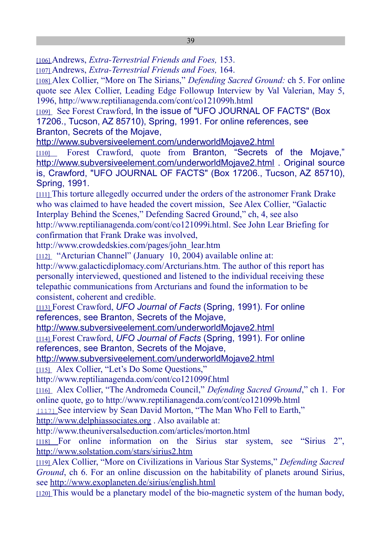[\[106\]](file:///C:/Users/Willfort/Downloads/Report-ET Motivations.htm#_ednref106) Andrews, *Extra-Terrestrial Friends and Foes,* 153.

[\[107\]](file:///C:/Users/Willfort/Downloads/Report-ET Motivations.htm#_ednref107) Andrews, *Extra-Terrestrial Friends and Foes,* 164.

 [\[108\]](file:///C:/Users/Willfort/Downloads/Report-ET Motivations.htm#_ednref108) Alex Collier, "More on The Sirians," *Defending Sacred Ground:* ch 5. For online quote see Alex Collier, Leading Edge Followup Interview by Val Valerian, May 5, 1996, http://www.reptilianagenda.com/cont/co121099h.html

[\[109\]](file:///C:/Users/Willfort/Downloads/Report-ET Motivations.htm#_ednref109) See Forest Crawford, In the issue of "UFO JOURNAL OF FACTS" (Box 17206., Tucson, AZ 85710), Spring, 1991. For online references, see Branton, Secrets of the Mojave,

<http://www.subversiveelement.com/underworldMojave2.html>

[\[110\]](file:///C:/Users/Willfort/Downloads/Report-ET Motivations.htm#_ednref110) Forest Crawford, quote from Branton, "Secrets of the Mojave," <http://www.subversiveelement.com/underworldMojave2.html>. Original source is, Crawford, "UFO JOURNAL OF FACTS" (Box 17206., Tucson, AZ 85710), Spring, 1991.

 [\[111\]](file:///C:/Users/Willfort/Downloads/Report-ET Motivations.htm#_ednref111) This torture allegedly occurred under the orders of the astronomer Frank Drake who was claimed to have headed the covert mission, See Alex Collier, "Galactic Interplay Behind the Scenes," Defending Sacred Ground," ch, 4, see also http://www.reptilianagenda.com/cont/co121099i.html. See John Lear Briefing for confirmation that Frank Drake was involved,

http://www.crowdedskies.com/pages/john\_lear.htm

[\[112\]](file:///C:/Users/Willfort/Downloads/Report-ET Motivations.htm#_ednref112) "Arcturian Channel" (January 10, 2004) available online at:

http://www.galacticdiplomacy.com/Arcturians.htm. The author of this report has personally interviewed, questioned and listened to the individual receiving these telepathic communications from Arcturians and found the information to be consistent, coherent and credible.

 [\[113\]](file:///C:/Users/Willfort/Downloads/Report-ET Motivations.htm#_ednref113) Forest Crawford, *UFO Journal of Facts* (Spring, 1991). For online references, see Branton, Secrets of the Mojave,

<http://www.subversiveelement.com/underworldMojave2.html>

 [\[114\]](file:///C:/Users/Willfort/Downloads/Report-ET Motivations.htm#_ednref114) Forest Crawford, *UFO Journal of Facts* (Spring, 1991). For online references, see Branton, Secrets of the Mojave,

<http://www.subversiveelement.com/underworldMojave2.html>

[\[115\]](file:///C:/Users/Willfort/Downloads/Report-ET Motivations.htm#_ednref115) Alex Collier, "Let's Do Some Questions,"

http://www.reptilianagenda.com/cont/co121099f.html

 [\[116\]](file:///C:/Users/Willfort/Downloads/Report-ET Motivations.htm#_ednref116) Alex Collier, "The Andromeda Council," *Defending Sacred Ground*," ch 1. For online quote, go to http://www.reptilianagenda.com/cont/co121099b.html

[\[117\]](file:///C:/Users/Willfort/Downloads/Report-ET Motivations.htm#_ednref117) See interview by Sean David Morton, "The Man Who Fell to Earth,"

[http://www.delphiassociates.org](http://www.delphiassociates.org/) . Also available at:

http://www.theuniversalseduction.com/articles/morton.html

 [\[118\]](file:///C:/Users/Willfort/Downloads/Report-ET Motivations.htm#_ednref118) For online information on the Sirius star system, see "Sirius 2", <http://www.solstation.com/stars/sirius2.htm>

 [\[119\]](file:///C:/Users/Willfort/Downloads/Report-ET Motivations.htm#_ednref119) Alex Collier, "More on Civilizations in Various Star Systems," *Defending Sacred Ground*, ch 6. For an online discussion on the habitability of planets around Sirius, see<http://www.exoplaneten.de/sirius/english.html>

[\[120\]](file:///C:/Users/Willfort/Downloads/Report-ET Motivations.htm#_ednref120) This would be a planetary model of the bio-magnetic system of the human body,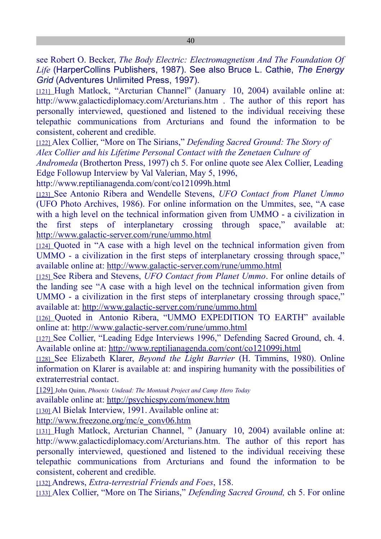see Robert O. Becker, *The Body Electric: Electromagnetism And The Foundation Of Life* (HarperCollins Publishers, 1987). See also Bruce L. Cathie, *The Energy Grid* (Adventures Unlimited Press, 1997).

[\[121\]](file:///C:/Users/Willfort/Downloads/Report-ET Motivations.htm#_ednref121) Hugh Matlock, "Arcturian Channel" (January 10, 2004) available online at: http://www.galacticdiplomacy.com/Arcturians.htm . The author of this report has personally interviewed, questioned and listened to the individual receiving these telepathic communications from Arcturians and found the information to be consistent, coherent and credible.

 [\[122\]](file:///C:/Users/Willfort/Downloads/Report-ET Motivations.htm#_ednref122) Alex Collier, "More on The Sirians," *Defending Sacred Ground: The Story of Alex Collier and his Lifetime Personal Contact with the Zenetaen Culture of*

*Andromeda* (Brotherton Press, 1997) ch 5. For online quote see Alex Collier, Leading Edge Followup Interview by Val Valerian, May 5, 1996,

http://www.reptilianagenda.com/cont/co121099h.html

 [\[123\]](file:///C:/Users/Willfort/Downloads/Report-ET Motivations.htm#_ednref123) See Antonio Ribera and Wendelle Stevens, *UFO Contact from Planet Ummo* (UFO Photo Archives, 1986). For online information on the Ummites, see, "A case with a high level on the technical information given from UMMO - a civilization in the first steps of interplanetary crossing through space," available at: <http://www.galactic-server.com/rune/ummo.html>

 [\[124\]](file:///C:/Users/Willfort/Downloads/Report-ET Motivations.htm#_ednref124) Quoted in "A case with a high level on the technical information given from UMMO - a civilization in the first steps of interplanetary crossing through space," available online at:<http://www.galactic-server.com/rune/ummo.html>

 [\[125\]](file:///C:/Users/Willfort/Downloads/Report-ET Motivations.htm#_ednref125) See Ribera and Stevens, *UFO Contact from Planet Ummo*. For online details of the landing see "A case with a high level on the technical information given from UMMO - a civilization in the first steps of interplanetary crossing through space," available at:<http://www.galactic-server.com/rune/ummo.html>

[\[126\]](file:///C:/Users/Willfort/Downloads/Report-ET Motivations.htm#_ednref126) Quoted in Antonio Ribera, "UMMO EXPEDITION TO EARTH" available online at:<http://www.galactic-server.com/rune/ummo.html>

 [\[127\]](file:///C:/Users/Willfort/Downloads/Report-ET Motivations.htm#_ednref127) See Collier, "Leading Edge Interviews 1996," Defending Sacred Ground, ch. 4. Available online at:<http://www.reptilianagenda.com/cont/co121099i.html>

 [\[128\]](file:///C:/Users/Willfort/Downloads/Report-ET Motivations.htm#_ednref128) See Elizabeth Klarer, *Beyond the Light Barrier* (H. Timmins, 1980). Online information on Klarer is available at: and inspiring humanity with the possibilities of extraterrestrial contact.

[\[129\]](file:///C:/Users/Willfort/Downloads/Report-ET Motivations.htm#_ednref129) John Quinn, *Phoenix Undead: The Montauk Project and Camp Hero Today* 

available online at:<http://psychicspy.com/monew.htm>

[\[130\]](file:///C:/Users/Willfort/Downloads/Report-ET Motivations.htm#_ednref130) Al Bielak Interview, 1991. Available online at:

[http://www.freezone.org/mc/e\\_conv06.htm](http://www.freezone.org/mc/e_conv06.htm)

[\[131\]](file:///C:/Users/Willfort/Downloads/Report-ET Motivations.htm#_ednref131) Hugh Matlock, Arcturian Channel, " (January 10, 2004) available online at: http://www.galacticdiplomacy.com/Arcturians.htm. The author of this report has personally interviewed, questioned and listened to the individual receiving these telepathic communications from Arcturians and found the information to be consistent, coherent and credible.

 [\[132\]](file:///C:/Users/Willfort/Downloads/Report-ET Motivations.htm#_ednref132) Andrews, *Extra-terrestrial Friends and Foes*, 158. [\[133\]](file:///C:/Users/Willfort/Downloads/Report-ET Motivations.htm#_ednref133) Alex Collier, "More on The Sirians," *Defending Sacred Ground,* ch 5. For online